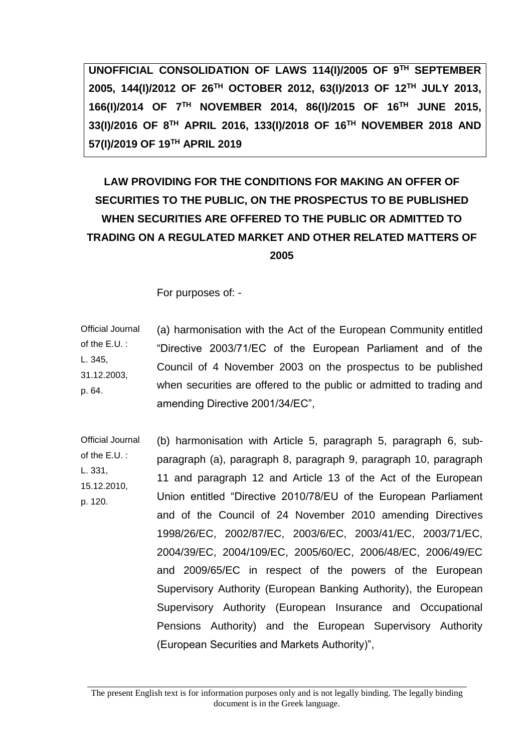**UNOFFICIAL CONSOLIDATION OF LAWS 114(I)/2005 OF 9TH SEPTEMBER 2005, 144(I)/2012 OF 26TH OCTOBER 2012, 63(I)/2013 OF 12TH JULY 2013, 166(I)/2014 OF 7TH NOVEMBER 2014, 86(I)/2015 OF 16TH JUNE 2015, 33(I)/2016 OF 8TH APRIL 2016, 133(I)/2018 OF 16TH NOVEMBER 2018 AND 57(I)/2019 OF 19TH APRIL 2019**

# **LAW PROVIDING FOR THE CONDITIONS FOR MAKING AN OFFER OF SECURITIES TO THE PUBLIC, ON THE PROSPECTUS TO BE PUBLISHED WHEN SECURITIES ARE OFFERED TO THE PUBLIC OR ADMITTED TO TRADING ON A REGULATED MARKET AND OTHER RELATED MATTERS OF 2005**

For purposes of: -

Official Journal of the E.U. : L. 345, 31.12.2003, p. 64. (a) harmonisation with the Act of the European Community entitled "Directive 2003/71/EC of the European Parliament and of the Council of 4 November 2003 on the prospectus to be published when securities are offered to the public or admitted to trading and amending Directive 2001/34/EC",

Official Journal of the E.U. : L. 331, 15.12.2010, p. 120. (b) harmonisation with Article 5, paragraph 5, paragraph 6, subparagraph (a), paragraph 8, paragraph 9, paragraph 10, paragraph 11 and paragraph 12 and Article 13 of the Act of the European Union entitled "Directive 2010/78/EU of the European Parliament and of the Council of 24 November 2010 amending Directives 1998/26/EC, 2002/87/EC, 2003/6/EC, 2003/41/EC, 2003/71/EC, 2004/39/EC, 2004/109/EC, 2005/60/EC, 2006/48/EC, 2006/49/EC and 2009/65/EC in respect of the powers of the European Supervisory Authority (European Banking Authority), the European Supervisory Authority (European Insurance and Occupational Pensions Authority) and the European Supervisory Authority (European Securities and Markets Authority)",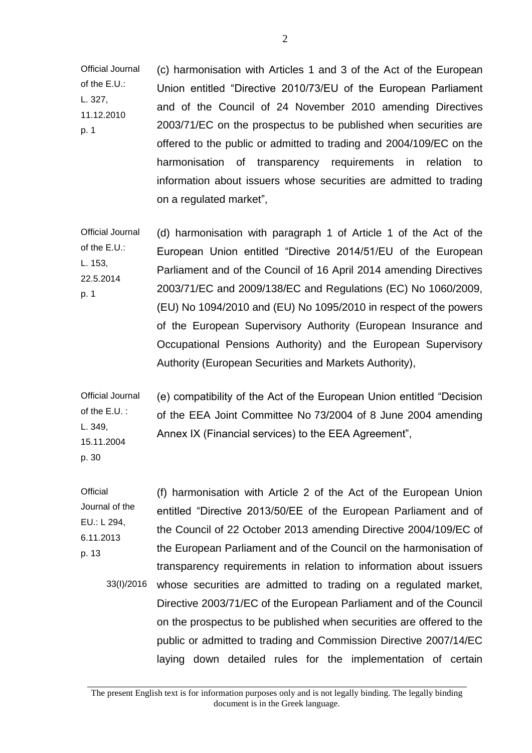Official Journal of the E.U.: L. 327, 11.12.2010 p. 1 (c) harmonisation with Articles 1 and 3 of the Act of the European Union entitled "Directive 2010/73/EU of the European Parliament and of the Council of 24 November 2010 amending Directives 2003/71/EC on the prospectus to be published when securities are offered to the public or admitted to trading and 2004/109/EC on the harmonisation of transparency requirements in relation to information about issuers whose securities are admitted to trading on a regulated market",

Official Journal of the E.U.: L. 153, 22.5.2014 p. 1 (d) harmonisation with paragraph 1 of Article 1 of the Act of the European Union entitled "Directive 2014/51/EU of the European Parliament and of the Council of 16 April 2014 amending Directives 2003/71/EC and 2009/138/EC and Regulations (EC) No 1060/2009, (EU) No 1094/2010 and (EU) No 1095/2010 in respect of the powers of the European Supervisory Authority (European Insurance and Occupational Pensions Authority) and the European Supervisory Authority (European Securities and Markets Authority),

Official Journal of the E.U. : L. 349, 15.11.2004 (e) compatibility of the Act of the European Union entitled "Decision of the EEA Joint Committee No 73/2004 of 8 June 2004 amending Annex IX (Financial services) to the EEA Agreement",

p. 30

**Official** Journal of the EU.: L 294, 6.11.2013 p. 13 33(I)/2016 whose securities are admitted to trading on a regulated market, (f) harmonisation with Article 2 of the Act of the European Union entitled "Directive 2013/50/EE of the European Parliament and of the Council of 22 October 2013 amending Directive 2004/109/EC of the European Parliament and of the Council on the harmonisation of transparency requirements in relation to information about issuers Directive 2003/71/EC of the European Parliament and of the Council on the prospectus to be published when securities are offered to the public or admitted to trading and Commission Directive 2007/14/EC laying down detailed rules for the implementation of certain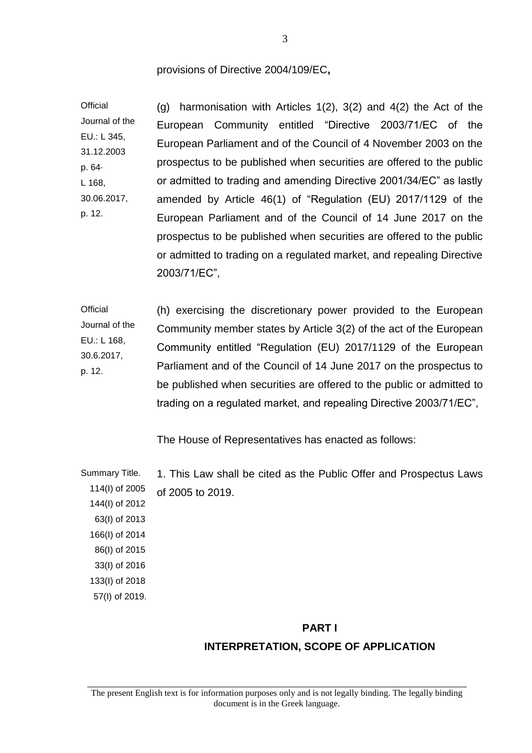#### provisions of Directive 2004/109/EC**,**

**Official** Journal of the EU.: L 345, 31.12.2003 p. 64· L 168, 30.06.2017, p. 12. (g) harmonisation with Articles 1(2), 3(2) and 4(2) the Act of the European Community entitled "Directive 2003/71/EC of the European Parliament and of the Council of 4 November 2003 on the prospectus to be published when securities are offered to the public or admitted to trading and amending Directive 2001/34/EC" as lastly amended by Article 46(1) of "Regulation (EU) 2017/1129 of the European Parliament and of the Council of 14 June 2017 on the prospectus to be published when securities are offered to the public or admitted to trading on a regulated market, and repealing Directive 2003/71/EC",

**Official** Journal of the EU.: L 168, 30.6.2017, p. 12. (h) exercising the discretionary power provided to the European Community member states by Article 3(2) of the act of the European Community entitled "Regulation (EU) 2017/1129 of the European Parliament and of the Council of 14 June 2017 on the prospectus to be published when securities are offered to the public or admitted to trading on a regulated market, and repealing Directive 2003/71/EC",

The House of Representatives has enacted as follows:

Summary Title. 1. This Law shall be cited as the Public Offer and Prospectus Laws of 2005 to 2019.

 114(I) of 2005 144(I) of 2012 63(I) of 2013 166(I) of 2014 86(I) of 2015 33(I) of 2016 133(I) of 2018 57(I) of 2019.

#### **PART I**

## **INTERPRETATION, SCOPE OF APPLICATION**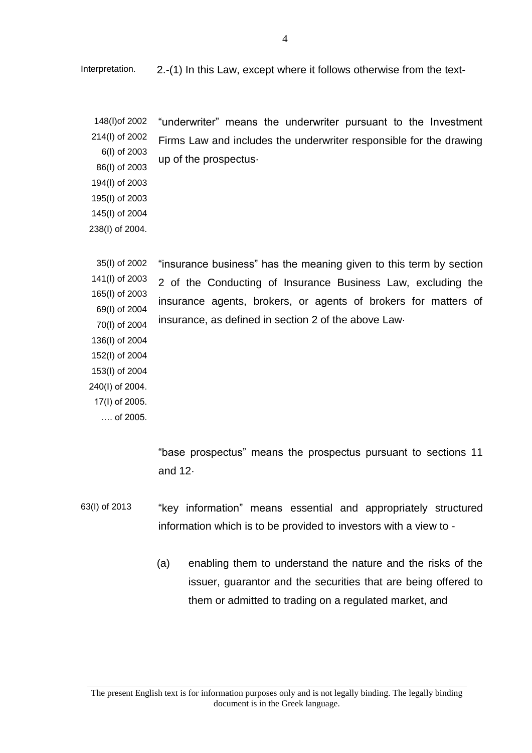Interpretation. 2.-(1) In this Law, except where it follows otherwise from the text-

148(I) of 2002 214(I) of 2002 6(Ι) of 2003 86(Ι) of 2003 194(I) of 2003 "underwriter" means the underwriter pursuant to the Investment Firms Law and includes the underwriter responsible for the drawing up of the prospectus·

195(Ι) of 2003 145(Ι) of 2004

238(I) of 2004.

35(I) of 2002 141(I) of 2003 165(Ι) of 2003 "insurance business" has the meaning given to this term by section 2 of the Conducting of Insurance Business Law, excluding the insurance agents, brokers, or agents of brokers for matters of insurance, as defined in section 2 of the above Law·

69(Ι) of 2004 70(Ι) of 2004 136(Ι) of 2004 152(Ι) of 2004 153(Ι) of 2004 240(Ι) of 2004. 17(Ι) of 2005. …. of 2005.

> "base prospectus" means the prospectus pursuant to sections 11 and 12·

- 63(I) of 2013 "key information" means essential and appropriately structured information which is to be provided to investors with a view to -
	- (a) enabling them to understand the nature and the risks of the issuer, guarantor and the securities that are being offered to them or admitted to trading on a regulated market, and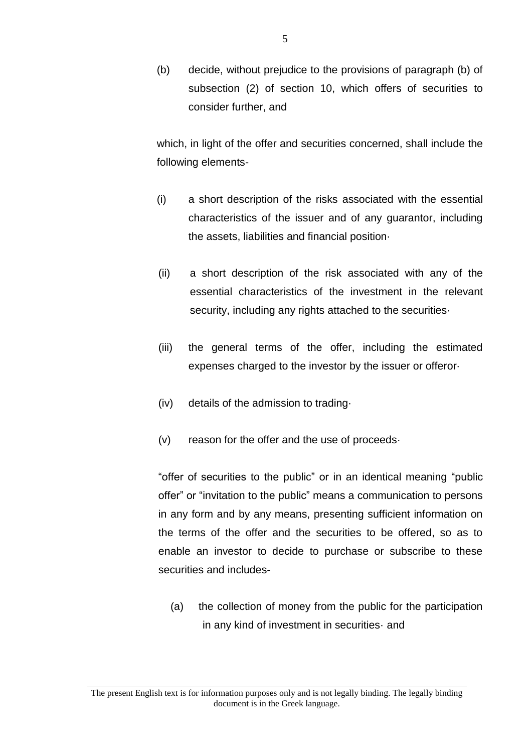(b) decide, without prejudice to the provisions of paragraph (b) of subsection (2) of section 10, which offers of securities to consider further, and

which, in light of the offer and securities concerned, shall include the following elements-

- (i) a short description of the risks associated with the essential characteristics of the issuer and of any guarantor, including the assets, liabilities and financial position·
- (ii) a short description of the risk associated with any of the essential characteristics of the investment in the relevant security, including any rights attached to the securities
- (iii) the general terms of the offer, including the estimated expenses charged to the investor by the issuer or offeror·
- (iv) details of the admission to trading·
- (v) reason for the offer and the use of proceeds·

"offer of securities to the public" or in an identical meaning "public offer" or "invitation to the public" means a communication to persons in any form and by any means, presenting sufficient information on the terms of the offer and the securities to be offered, so as to enable an investor to decide to purchase or subscribe to these securities and includes-

(a) the collection of money from the public for the participation in any kind of investment in securities· and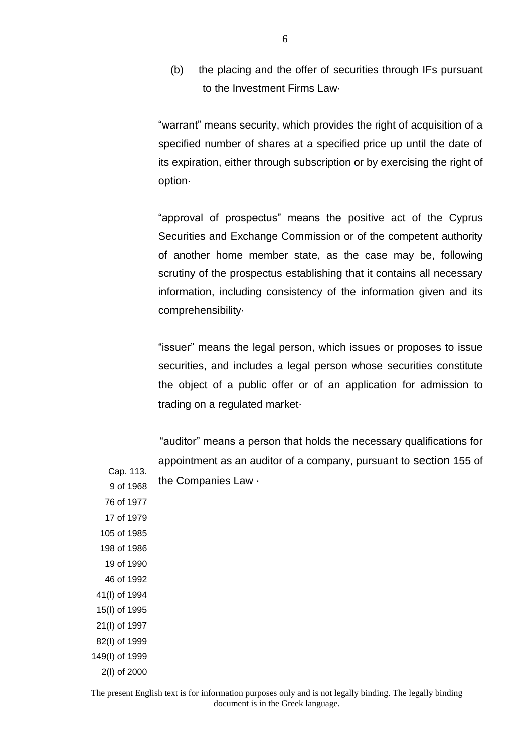(b) the placing and the offer of securities through IFs pursuant to the Investment Firms Law·

"warrant" means security, which provides the right of acquisition of a specified number of shares at a specified price up until the date of its expiration, either through subscription or by exercising the right of option·

"approval of prospectus" means the positive act of the Cyprus Securities and Exchange Commission or of the competent authority of another home member state, as the case may be, following scrutiny of the prospectus establishing that it contains all necessary information, including consistency of the information given and its comprehensibility·

"issuer" means the legal person, which issues or proposes to issue securities, and includes a legal person whose securities constitute the object of a public offer or of an application for admission to trading on a regulated market·

"auditor" means a person that holds the necessary qualifications for appointment as an auditor of a company, pursuant to section 155 of the Companies Law ·

Cap. 113. 9 of 1968 76 of 1977 17 of 1979 105 of 1985 198 of 1986 19 of 1990 46 of 1992 41(Ι) of 1994 15(Ι) of 1995 21(I) of 1997 82(I) of 1999 149(Ι) of 1999 2(Ι) of 2000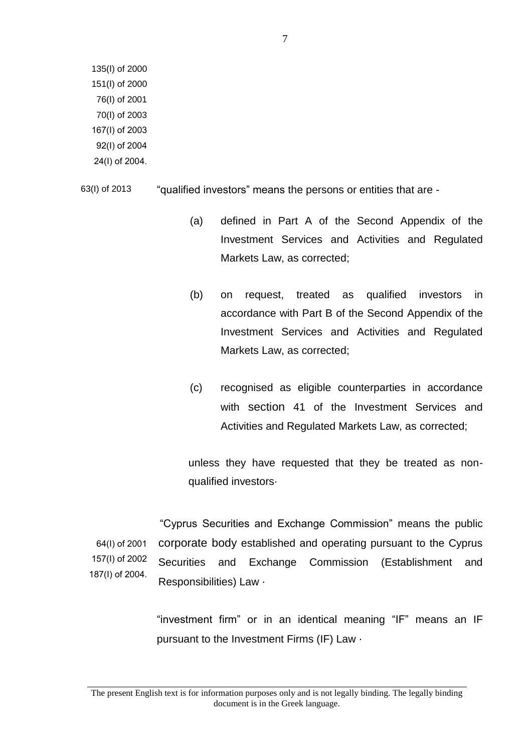135(Ι) of 2000 151(I) of 2000 76(Ι) of 2001 70(Ι) of 2003 167(Ι) of 2003 92(Ι) of 2004 24(Ι) of 2004.

63(I) of 2013 "qualified investors" means the persons or entities that are -

- (a) defined in Part A of the Second Appendix of the Investment Services and Activities and Regulated Markets Law, as corrected;
- (b) on request, treated as qualified investors in accordance with Part B of the Second Appendix of the Investment Services and Activities and Regulated Markets Law, as corrected;
- (c) recognised as eligible counterparties in accordance with section 41 of the Investment Services and Activities and Regulated Markets Law, as corrected;

unless they have requested that they be treated as nonqualified investors·

64(Ι) of 2001 157(Ι) of 2002 187(Ι) of 2004. "Cyprus Securities and Exchange Commission" means the public corporate body established and operating pursuant to the Cyprus Securities and Exchange Commission (Establishment and Responsibilities) Law ·

> "investment firm" or in an identical meaning "IF" means an IF pursuant to the Investment Firms (IF) Law ·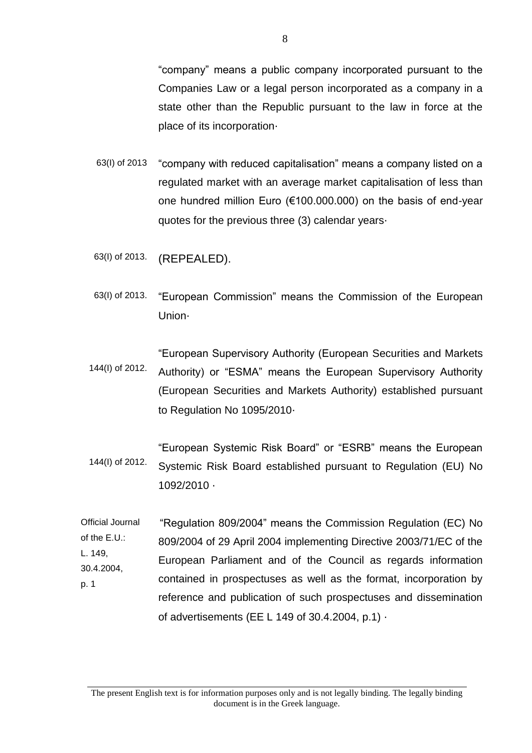"company" means a public company incorporated pursuant to the Companies Law or a legal person incorporated as a company in a state other than the Republic pursuant to the law in force at the place of its incorporation·

- 63(I) of 2013 "company with reduced capitalisation" means a company listed on a regulated market with an average market capitalisation of less than one hundred million Euro (€100.000.000) on the basis of end-year quotes for the previous three (3) calendar years·
- 63(I) of 2013. (REPEALED).
- 63(I) of 2013. "European Commission" means the Commission of the European Union·
- 144(I) of 2012. "European Supervisory Authority (European Securities and Markets Authority) or "ESMA" means the European Supervisory Authority (European Securities and Markets Authority) established pursuant to Regulation No 1095/2010·
- 144(I) of 2012. "European Systemic Risk Board" or "ESRB" means the European Systemic Risk Board established pursuant to Regulation (EU) No 1092/2010 ·
- Official Journal of the E.U.: L. 149, 30.4.2004, p. 1 "Regulation 809/2004" means the Commission Regulation (EC) No 809/2004 of 29 April 2004 implementing Directive 2003/71/EC of the European Parliament and of the Council as regards information contained in prospectuses as well as the format, incorporation by reference and publication of such prospectuses and dissemination of advertisements (EE L 149 of 30.4.2004, p.1) ·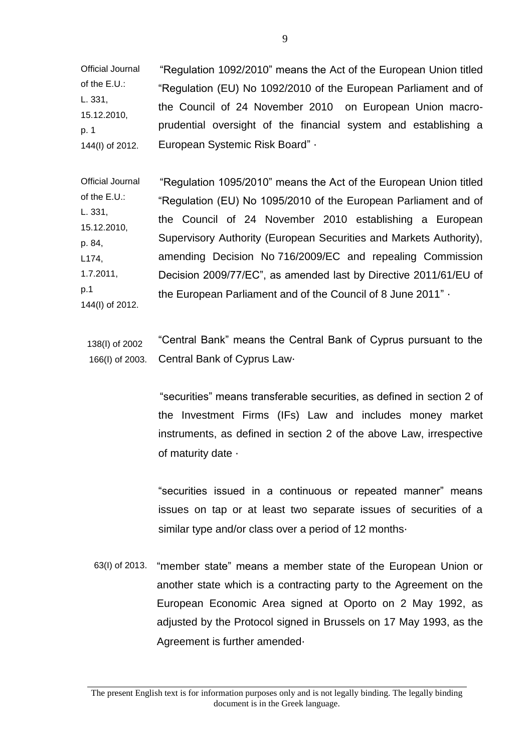Official Journal of the E.U.: L. 331, 15.12.2010, p. 1 144(I) of 2012. "Regulation 1092/2010" means the Act of the European Union titled "Regulation (EU) No 1092/2010 of the European Parliament and of the Council of 24 November 2010 on European Union macroprudential oversight of the financial system and establishing a European Systemic Risk Board" ·

Official Journal of the E.U.: L. 331, 15.12.2010, p. 84, L174, 1.7.2011, p.1 144(I) of 2012. "Regulation 1095/2010" means the Act of the European Union titled "Regulation (EU) No 1095/2010 of the European Parliament and of the Council of 24 November 2010 establishing a European Supervisory Authority (European Securities and Markets Authority), amending Decision No 716/2009/EC and repealing Commission Decision 2009/77/EC", as amended last by Directive 2011/61/EU of the European Parliament and of the Council of 8 June 2011" ·

138(Ι) of 2002 166(Ι) of 2003. "Central Bank" means the Central Bank of Cyprus pursuant to the Central Bank of Cyprus Law·

> "securities" means transferable securities, as defined in section 2 of the Investment Firms (IFs) Law and includes money market instruments, as defined in section 2 of the above Law, irrespective of maturity date ·

> "securities issued in a continuous or repeated manner" means issues on tap or at least two separate issues of securities of a similar type and/or class over a period of 12 months·

63(I) of 2013. "member state" means a member state of the European Union or another state which is a contracting party to the Agreement on the European Economic Area signed at Oporto on 2 May 1992, as adjusted by the Protocol signed in Brussels on 17 May 1993, as the Agreement is further amended ·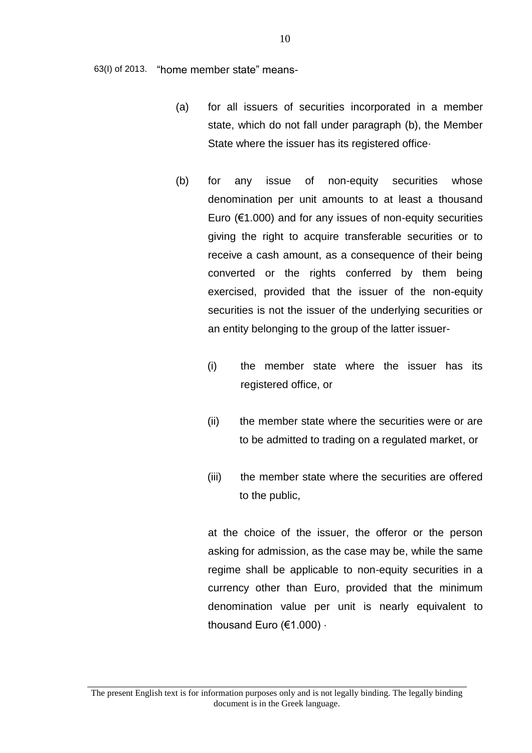63(I) of 2013. "home member state" means-

- (a) for all issuers of securities incorporated in a member state, which do not fall under paragraph (b), the Member State where the issuer has its registered office·
- (b) for any issue of non-equity securities whose denomination per unit amounts to at least a thousand Euro ( $€1.000$ ) and for any issues of non-equity securities giving the right to acquire transferable securities or to receive a cash amount, as a consequence of their being converted or the rights conferred by them being exercised, provided that the issuer of the non-equity securities is not the issuer of the underlying securities or an entity belonging to the group of the latter issuer-
	- (i) the member state where the issuer has its registered office, or
	- (ii) the member state where the securities were or are to be admitted to trading on a regulated market, or
	- (iii) the member state where the securities are offered to the public,

at the choice of the issuer, the offeror or the person asking for admission, as the case may be, while the same regime shall be applicable to non-equity securities in a currency other than Euro, provided that the minimum denomination value per unit is nearly equivalent to thousand Euro (€1.000) ·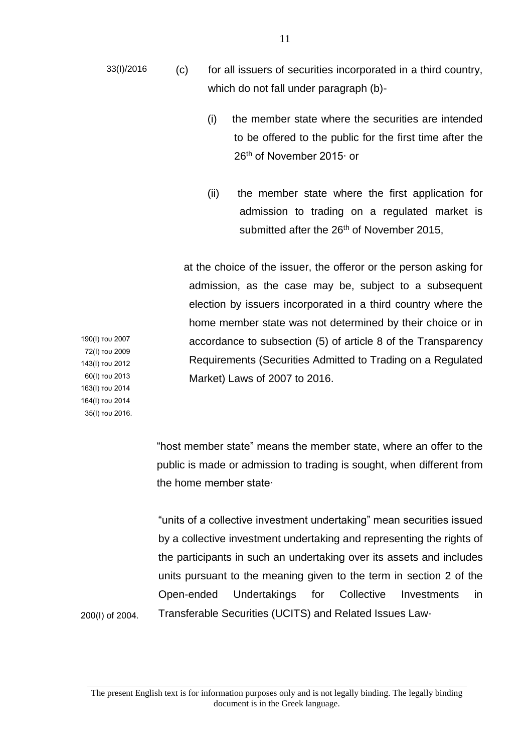- (i) the member state where the securities are intended to be offered to the public for the first time after the 26<sup>th</sup> of November 2015∙ or
- (ii) the member state where the first application for admission to trading on a regulated market is submitted after the 26<sup>th</sup> of November 2015,

 at the choice of the issuer, the offeror or the person asking for admission, as the case may be, subject to a subsequent election by issuers incorporated in a third country where the home member state was not determined by their choice or in accordance to subsection (5) of article 8 of the Transparency Requirements (Securities Admitted to Trading on a Regulated Market) Laws of 2007 to 2016.

190(Ι) του 2007 72(Ι) του 2009 143(Ι) του 2012 60(Ι) του 2013 163(Ι) του 2014 164(Ι) του 2014 35(Ι) του 2016.

200(I) of 2004.

"host member state" means the member state, where an offer to the public is made or admission to trading is sought, when different from the home member state∙

"units of a collective investment undertaking" mean securities issued by a collective investment undertaking and representing the rights of the participants in such an undertaking over its assets and includes units pursuant to the meaning given to the term in section 2 of the Open-ended Undertakings for Collective Investments in Transferable Securities (UCITS) and Related Issues Law·

The present English text is for information purposes only and is not legally binding. The legally binding document is in the Greek language.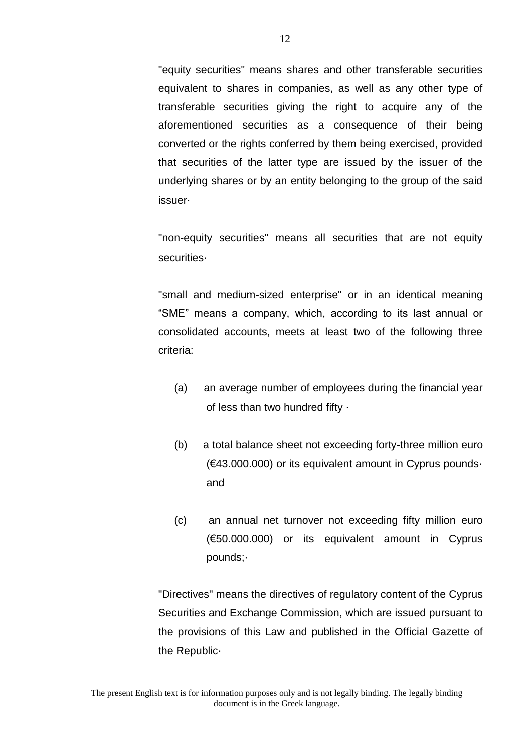"equity securities" means shares and other transferable securities equivalent to shares in companies, as well as any other type of transferable securities giving the right to acquire any of the aforementioned securities as a consequence of their being converted or the rights conferred by them being exercised, provided that securities of the latter type are issued by the issuer of the underlying shares or by an entity belonging to the group of the said issuer·

"non-equity securities" means all securities that are not equity securities·

"small and medium-sized enterprise" or in an identical meaning "SME" means a company, which, according to its last annual or consolidated accounts, meets at least two of the following three criteria:

- (a) an average number of employees during the financial year of less than two hundred fifty ·
- (b) a total balance sheet not exceeding forty-three million euro (€43.000.000) or its equivalent amount in Cyprus pounds· and
- (c) an annual net turnover not exceeding fifty million euro (€50.000.000) or its equivalent amount in Cyprus pounds;·

"Directives" means the directives of regulatory content of the Cyprus Securities and Exchange Commission, which are issued pursuant to the provisions of this Law and published in the Official Gazette of the Republic·

The present English text is for information purposes only and is not legally binding. The legally binding document is in the Greek language.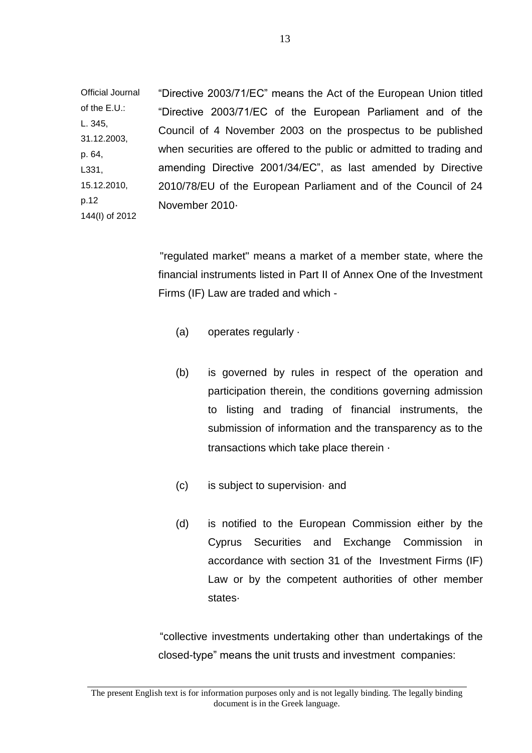Official Journal of the E.U.: L. 345, 31.12.2003, p. 64, L331, 15.12.2010, p.12 144(I) of 2012 "Directive 2003/71/EC" means the Act of the European Union titled "Directive 2003/71/EC of the European Parliament and of the Council of 4 November 2003 on the prospectus to be published when securities are offered to the public or admitted to trading and amending Directive 2001/34/EC", as last amended by Directive 2010/78/EU of the European Parliament and of the Council of 24 November 2010·

> "regulated market" means a market of a member state, where the financial instruments listed in Part II of Annex One of the Investment Firms (IF) Law are traded and which -

- (a) operates regularly ·
- (b) is governed by rules in respect of the operation and participation therein, the conditions governing admission to listing and trading of financial instruments, the submission of information and the transparency as to the transactions which take place therein ·
- (c) is subject to supervision· and
- (d) is notified to the European Commission either by the Cyprus Securities and Exchange Commission in accordance with section 31 of the Investment Firms (IF) Law or by the competent authorities of other member states·

"collective investments undertaking other than undertakings of the closed-type" means the unit trusts and investment companies: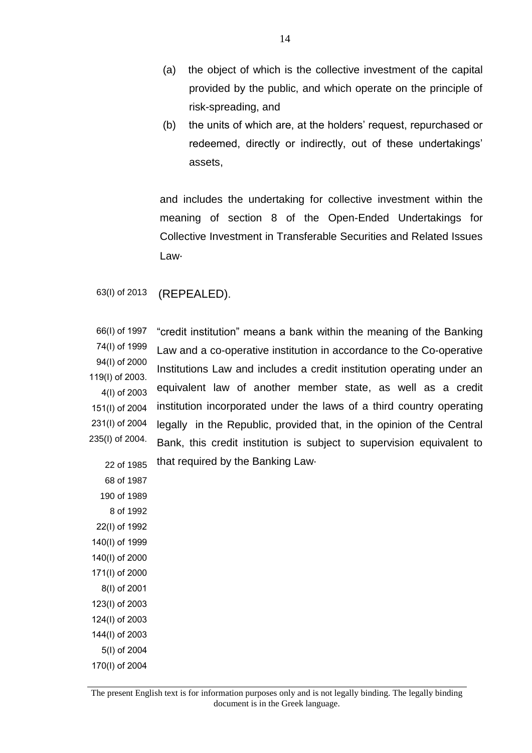- (a) the object of which is the collective investment of the capital provided by the public, and which operate on the principle of risk-spreading, and
- (b) the units of which are, at the holders' request, repurchased or redeemed, directly or indirectly, out of these undertakings' assets,

and includes the undertaking for collective investment within the meaning of section 8 of the Open-Ended Undertakings for Collective Investment in Transferable Securities and Related Issues Law·

63(I) of 2013 (REPEALED).

66(Ι) of 1997 74(Ι) of 1999 94(Ι) of 2000 119(Ι) of 2003. 4(Ι) of 2003 151(Ι) of 2004 231(I) of 2004 235(I) of 2004. 22 of 1985 "credit institution" means a bank within the meaning of the Banking Law and a co-operative institution in accordance to the Co-operative Institutions Law and includes a credit institution operating under an equivalent law of another member state, as well as a credit institution incorporated under the laws of a third country operating legally in the Republic, provided that, in the opinion of the Central Bank, this credit institution is subject to supervision equivalent to that required by the Banking Law·

68 of 1987 190 of 1989 8 of 1992 22(Ι) of 1992 140(Ι) of 1999 140(Ι) of 2000 171(I) of 2000 8(Ι) of 2001 123(Ι) of 2003 124(Ι) of 2003 144(Ι) of 2003 5(Ι) of 2004 170(Ι) of 2004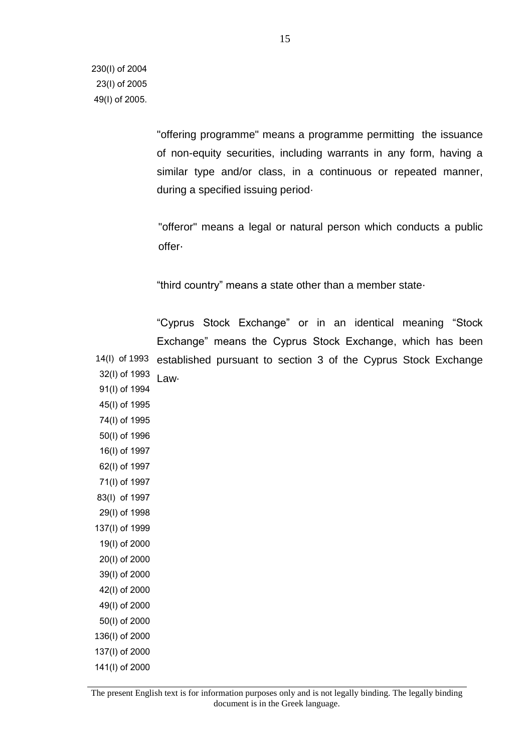"offering programme" means a programme permitting the issuance of non-equity securities, including warrants in any form, having a similar type and/or class, in a continuous or repeated manner, during a specified issuing period·

"offeror" means a legal or natural person which conducts a public offer·

"third country" means a state other than a member state·

 14(Ι) of 1993 32(Ι) of 1993 91(Ι) of 1994 45(Ι) of 1995 74(Ι) of 1995 50(Ι) of 1996 16(Ι) of 1997 62(Ι) of 1997 71(Ι) of 1997 83(Ι) of 1997 29(Ι) of 1998 137(Ι) of 1999 19(Ι) of 2000 20(Ι) of 2000 39(Ι) of 2000 42(Ι) of 2000 49(Ι) of 2000 50(Ι) of 2000 136(Ι) of 2000 137(Ι) of 2000 141(Ι) of 2000 "Cyprus Stock Exchange" or in an identical meaning "Stock Exchange" means the Cyprus Stock Exchange, which has been established pursuant to section 3 of the Cyprus Stock Exchange Law·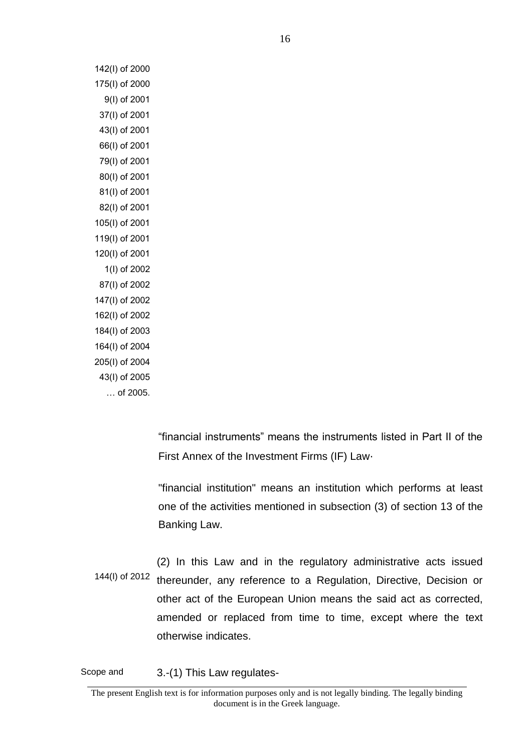142(Ι) of 2000 175(Ι) of 2000 9(Ι) of 2001 37(Ι) of 2001 43(Ι) of 2001 66(Ι) of 2001 79(Ι) of 2001 80(Ι) of 2001 81(I) of 2001 82(Ι) of 2001 105(Ι) of 2001 119(Ι) of 2001 120(Ι) of 2001 1(Ι) of 2002 87(Ι) of 2002 147(Ι) of 2002 162(Ι) of 2002 184(Ι) of 2003 164(Ι) of 2004 205(Ι) of 2004 43(Ι) of 2005 … of 2005.

> "financial instruments" means the instruments listed in Part II of the First Annex of the Investment Firms (IF) Law·

> "financial institution" means an institution which performs at least one of the activities mentioned in subsection (3) of section 13 of the Banking Law.

144(I) of 2012 (2) In this Law and in the regulatory administrative acts issued thereunder, any reference to a Regulation, Directive, Decision or other act of the European Union means the said act as corrected, amended or replaced from time to time, except where the text otherwise indicates.

Scope and 3.-(1) This Law regulates-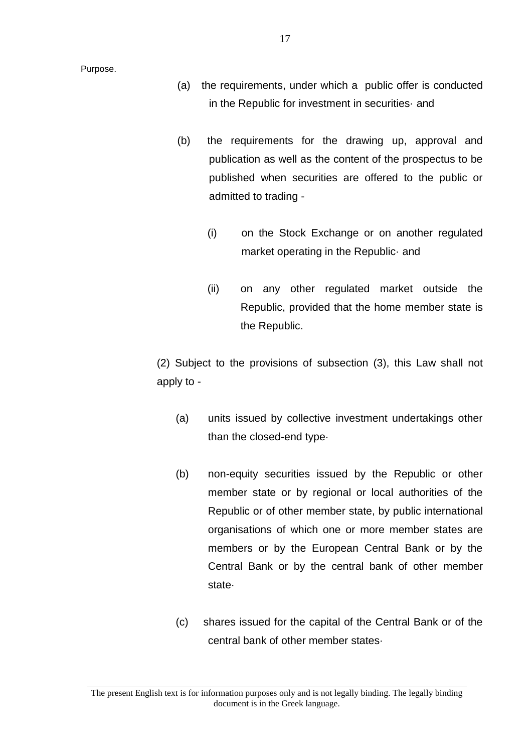- (a) the requirements, under which a public offer is conducted in the Republic for investment in securities· and
- (b) the requirements for the drawing up, approval and publication as well as the content of the prospectus to be published when securities are offered to the public or admitted to trading -
	- (i) on the Stock Exchange or on another regulated market operating in the Republic· and
	- (ii) on any other regulated market outside the Republic, provided that the home member state is the Republic.

(2) Subject to the provisions of subsection (3), this Law shall not apply to -

- (a) units issued by collective investment undertakings other than the closed-end type·
- (b) non-equity securities issued by the Republic or other member state or by regional or local authorities of the Republic or of other member state, by public international organisations of which one or more member states are members or by the European Central Bank or by the Central Bank or by the central bank of other member state·
- (c) shares issued for the capital of the Central Bank or of the central bank of other member states·

The present English text is for information purposes only and is not legally binding. The legally binding document is in the Greek language.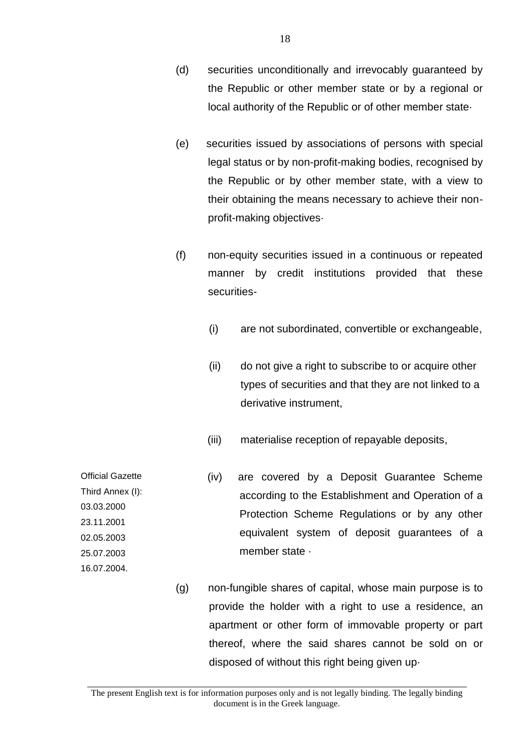- (d) securities unconditionally and irrevocably guaranteed by the Republic or other member state or by a regional or local authority of the Republic or of other member state·
- (e) securities issued by associations of persons with special legal status or by non-profit-making bodies, recognised by the Republic or by other member state, with a view to their obtaining the means necessary to achieve their nonprofit-making objectives·
- (f) non-equity securities issued in a continuous or repeated manner by credit institutions provided that these securities-
	- (i) are not subordinated, convertible or exchangeable,
	- (ii) do not give a right to subscribe to or acquire other types of securities and that they are not linked to a derivative instrument,
	- (iii) materialise reception of repayable deposits,

Official Gazette Third Annex (I): 03.03.2000 23.11.2001 02.05.2003 25.07.2003 (iv) are covered by a Deposit Guarantee Scheme according to the Establishment and Operation of a Protection Scheme Regulations or by any other equivalent system of deposit guarantees of a member state ·

> (g) non-fungible shares of capital, whose main purpose is to provide the holder with a right to use a residence, an apartment or other form of immovable property or part thereof, where the said shares cannot be sold on or disposed of without this right being given up·

16.07.2004.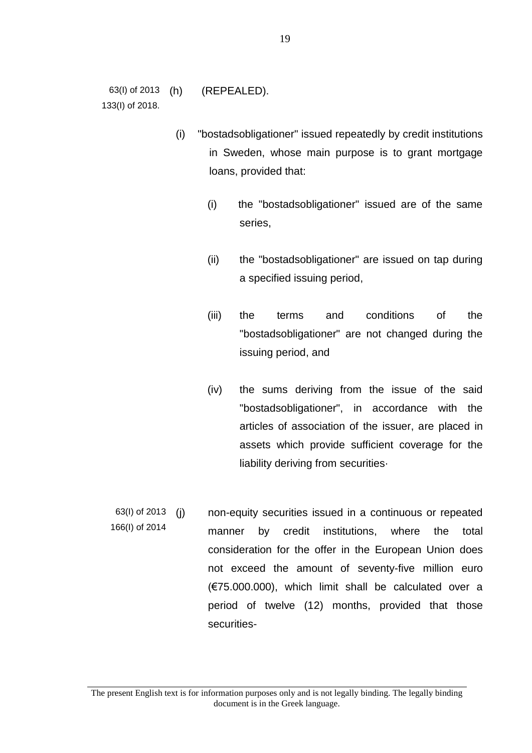63(I) of 2013 133(I) of 2018. (h) (REPEALED).

- (i) "bostadsobligationer" issued repeatedly by credit institutions in Sweden, whose main purpose is to grant mortgage loans, provided that:
	- (i) the "bostadsobligationer" issued are of the same series,
	- (ii) the "bostadsobligationer" are issued on tap during a specified issuing period,
	- (iii) the terms and conditions of the "bostadsobligationer" are not changed during the issuing period, and
	- (iv) the sums deriving from the issue of the said "bostadsobligationer", in accordance with the articles of association of the issuer, are placed in assets which provide sufficient coverage for the liability deriving from securities·
- 63(I) of 2013 166(I) of 2014 (j) non-equity securities issued in a continuous or repeated manner by credit institutions, where the total consideration for the offer in the European Union does not exceed the amount of seventy-five million euro (€75.000.000), which limit shall be calculated over a period of twelve (12) months, provided that those securities-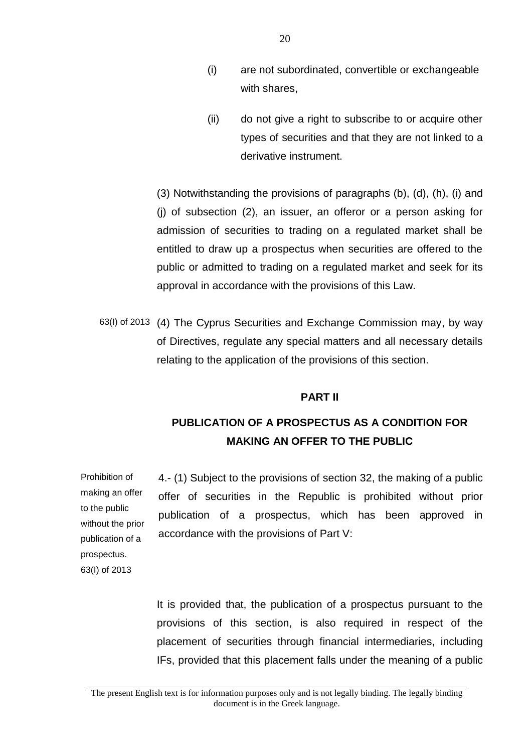- (i) are not subordinated, convertible or exchangeable with shares,
- (ii) do not give a right to subscribe to or acquire other types of securities and that they are not linked to a derivative instrument.

(3) Notwithstanding the provisions of paragraphs (b), (d), (h), (i) and (j) of subsection (2), an issuer, an offeror or a person asking for admission of securities to trading on a regulated market shall be entitled to draw up a prospectus when securities are offered to the public or admitted to trading on a regulated market and seek for its approval in accordance with the provisions of this Law.

63(I) of 2013 (4) The Cyprus Securities and Exchange Commission may, by way of Directives, regulate any special matters and all necessary details relating to the application of the provisions of this section.

## **PART II**

## **PUBLICATION OF A PROSPECTUS AS A CONDITION FOR MAKING AN OFFER TO THE PUBLIC**

Prohibition of making an offer to the public without the prior publication of a prospectus. 63(I) of 2013

4.- (1) Subject to the provisions of section 32, the making of a public offer of securities in the Republic is prohibited without prior publication of a prospectus, which has been approved in accordance with the provisions of Part V:

It is provided that, the publication of a prospectus pursuant to the provisions of this section, is also required in respect of the placement of securities through financial intermediaries, including IFs, provided that this placement falls under the meaning of a public

The present English text is for information purposes only and is not legally binding. The legally binding document is in the Greek language.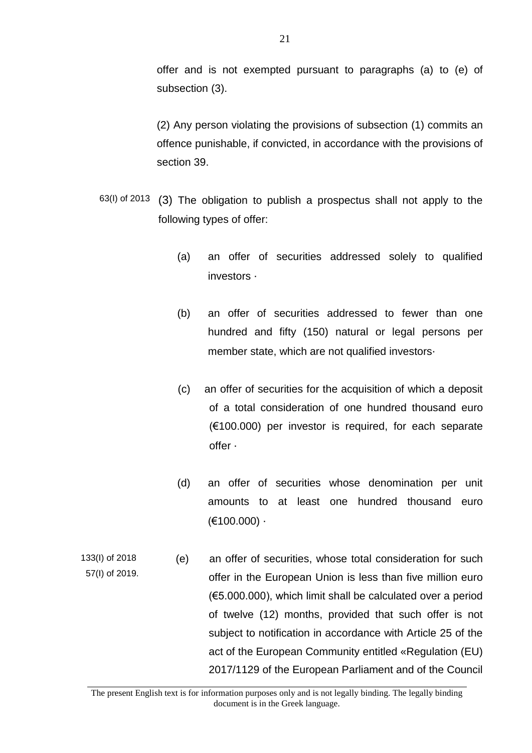offer and is not exempted pursuant to paragraphs (a) to (e) of subsection (3).

(2) Any person violating the provisions of subsection (1) commits an offence punishable, if convicted, in accordance with the provisions of section 39.

- 63(I) of 2013 (3) The obligation to publish a prospectus shall not apply to the following types of offer:
	- (a) an offer of securities addressed solely to qualified investors ·
	- (b) an offer of securities addressed to fewer than one hundred and fifty (150) natural or legal persons per member state, which are not qualified investors·
	- (c) an offer of securities for the acquisition of which a deposit of a total consideration of one hundred thousand euro  $(6100.000)$  per investor is required, for each separate offer ·
	- (d) an offer of securities whose denomination per unit amounts to at least one hundred thousand euro  $(€100.000)$  ·
- 133(I) of 2018 57(I) of 2019. (e) an offer of securities, whose total consideration for such offer in the European Union is less than five million euro (€5.000.000), which limit shall be calculated over a period of twelve (12) months, provided that such offer is not subject to notification in accordance with Article 25 of the act of the European Community entitled «Regulation (EU) 2017/1129 of the European Parliament and of the Council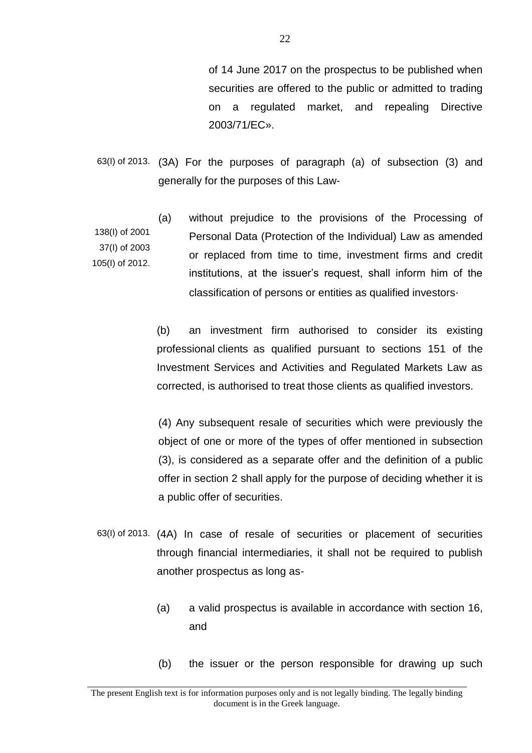of 14 June 2017 on the prospectus to be published when securities are offered to the public or admitted to trading on a regulated market, and repealing Directive 2003/71/EC».

- 63(I) of 2013. (3A) For the purposes of paragraph (a) of subsection (3) and generally for the purposes of this Law-
- 138(I) of 2001 37(I) of 2003 105(I) of 2012. (a) without prejudice to the provisions of the Processing of Personal Data (Protection of the Individual) Law as amended or replaced from time to time, investment firms and credit institutions, at the issuer's request, shall inform him of the classification of persons or entities as qualified investors·

(b) an investment firm authorised to consider its existing professional clients as qualified pursuant to sections 151 of the Investment Services and Activities and Regulated Markets Law as corrected, is authorised to treat those clients as qualified investors.

(4) Any subsequent resale of securities which were previously the object of one or more of the types of offer mentioned in subsection (3), is considered as a separate offer and the definition of a public offer in section 2 shall apply for the purpose of deciding whether it is a public offer of securities.

- 63(I) of 2013. (4A) In case of resale of securities or placement of securities through financial intermediaries, it shall not be required to publish another prospectus as long as-
	- (a) a valid prospectus is available in accordance with section 16, and
	- (b) the issuer or the person responsible for drawing up such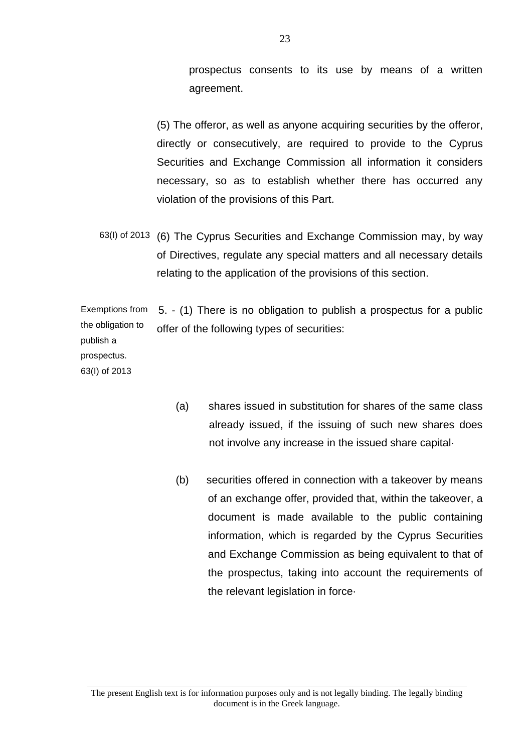prospectus consents to its use by means of a written agreement.

(5) The offeror, as well as anyone acquiring securities by the offeror, directly or consecutively, are required to provide to the Cyprus Securities and Exchange Commission all information it considers necessary, so as to establish whether there has occurred any violation of the provisions of this Part.

63(I) of 2013 (6) The Cyprus Securities and Exchange Commission may, by way of Directives, regulate any special matters and all necessary details relating to the application of the provisions of this section.

Exemptions from the obligation to publish a 5. - (1) There is no obligation to publish a prospectus for a public offer of the following types of securities:

prospectus. 63(I) of 2013

- (a) shares issued in substitution for shares of the same class already issued, if the issuing of such new shares does not involve any increase in the issued share capital·
- (b) securities offered in connection with a takeover by means of an exchange offer, provided that, within the takeover, a document is made available to the public containing information, which is regarded by the Cyprus Securities and Exchange Commission as being equivalent to that of the prospectus, taking into account the requirements of the relevant legislation in force·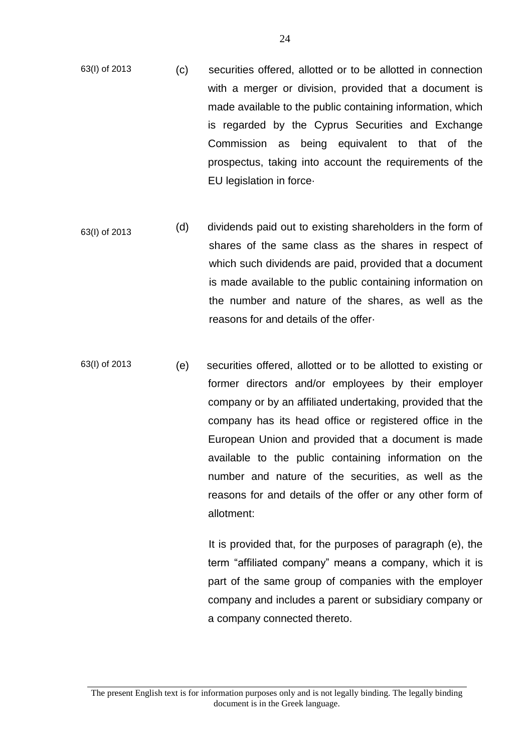- 63(I) of 2013 (c) securities offered, allotted or to be allotted in connection with a merger or division, provided that a document is made available to the public containing information, which is regarded by the Cyprus Securities and Exchange Commission as being equivalent to that of the prospectus, taking into account the requirements of the EU legislation in force·
- 63(I) of 2013 (d) dividends paid out to existing shareholders in the form of shares of the same class as the shares in respect of which such dividends are paid, provided that a document is made available to the public containing information on the number and nature of the shares, as well as the reasons for and details of the offer·
- 63(I) of 2013 (e) securities offered, allotted or to be allotted to existing or former directors and/or employees by their employer company or by an affiliated undertaking, provided that the company has its head office or registered office in the European Union and provided that a document is made available to the public containing information on the number and nature of the securities, as well as the reasons for and details of the offer or any other form of allotment:

 It is provided that, for the purposes of paragraph (e), the term "affiliated company" means a company, which it is part of the same group of companies with the employer company and includes a parent or subsidiary company or a company connected thereto.

The present English text is for information purposes only and is not legally binding. The legally binding document is in the Greek language.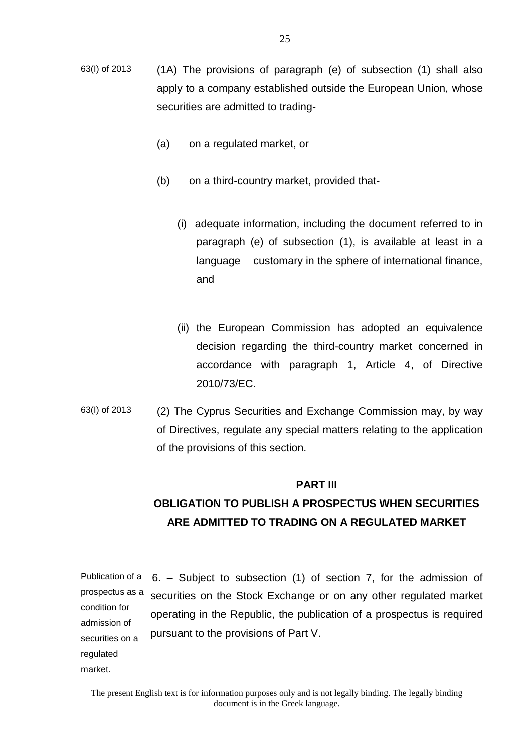- 63(I) of 2013 (1A) The provisions of paragraph (e) of subsection (1) shall also apply to a company established outside the European Union, whose securities are admitted to trading-
	- (a) on a regulated market, or
	- (b) on a third-country market, provided that-
		- (i) adequate information, including the document referred to in paragraph (e) of subsection (1), is available at least in a language customary in the sphere of international finance, and
		- (ii) the European Commission has adopted an equivalence decision regarding the third-country market concerned in accordance with paragraph 1, Article 4, of Directive 2010/73/EC.
- 63(I) of 2013 (2) The Cyprus Securities and Exchange Commission may, by way of Directives, regulate any special matters relating to the application of the provisions of this section.

## **PART III**

## **OBLIGATION TO PUBLISH A PROSPECTUS WHEN SECURITIES ARE ADMITTED TO TRADING ON A REGULATED MARKET**

Publication of a prospectus as a condition for admission of securities on a regulated 6. – Subject to subsection (1) of section 7, for the admission of securities on the Stock Exchange or on any other regulated market operating in the Republic, the publication of a prospectus is required pursuant to the provisions of Part V.

market.

The present English text is for information purposes only and is not legally binding. The legally binding document is in the Greek language.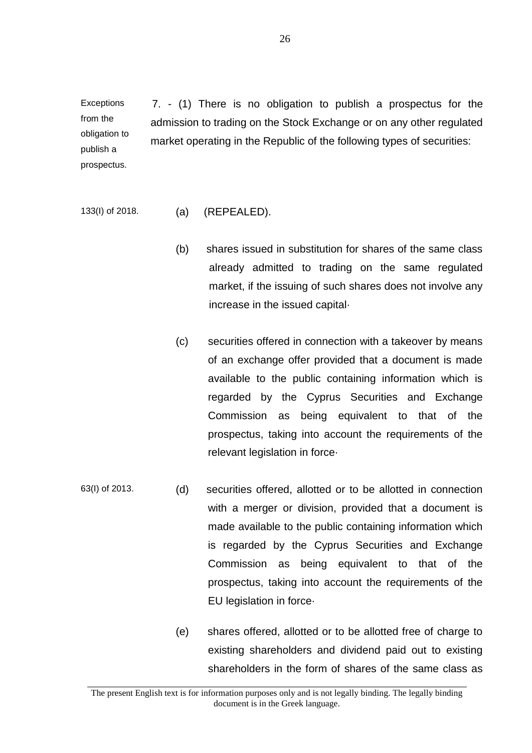**Exceptions** from the obligation to publish a prospectus. 7. - (1) There is no obligation to publish a prospectus for the admission to trading on the Stock Exchange or on any other regulated market operating in the Republic of the following types of securities:

#### 133(I) of 2018. (a) (REPEALED).

- (b) shares issued in substitution for shares of the same class already admitted to trading on the same regulated market, if the issuing of such shares does not involve any increase in the issued capital·
- (c) securities offered in connection with a takeover by means of an exchange offer provided that a document is made available to the public containing information which is regarded by the Cyprus Securities and Exchange Commission as being equivalent to that of the prospectus, taking into account the requirements of the relevant legislation in force·
- 63(I) of 2013. (d) securities offered, allotted or to be allotted in connection with a merger or division, provided that a document is made available to the public containing information which is regarded by the Cyprus Securities and Exchange Commission as being equivalent to that of the prospectus, taking into account the requirements of the EU legislation in force·
	- (e) shares offered, allotted or to be allotted free of charge to existing shareholders and dividend paid out to existing shareholders in the form of shares of the same class as

The present English text is for information purposes only and is not legally binding. The legally binding document is in the Greek language.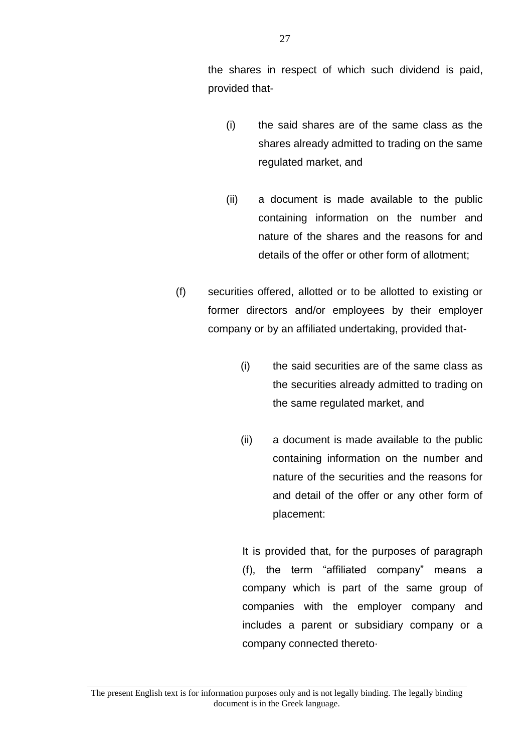the shares in respect of which such dividend is paid, provided that-

- (i) the said shares are of the same class as the shares already admitted to trading on the same regulated market, and
- (ii) a document is made available to the public containing information on the number and nature of the shares and the reasons for and details of the offer or other form of allotment;
- (f) securities offered, allotted or to be allotted to existing or former directors and/or employees by their employer company or by an affiliated undertaking, provided that-
	- (i) the said securities are of the same class as the securities already admitted to trading on the same regulated market, and
	- (ii) a document is made available to the public containing information on the number and nature of the securities and the reasons for and detail of the offer or any other form of placement:

It is provided that, for the purposes of paragraph (f), the term "affiliated company" means a company which is part of the same group of companies with the employer company and includes a parent or subsidiary company or a company connected thereto·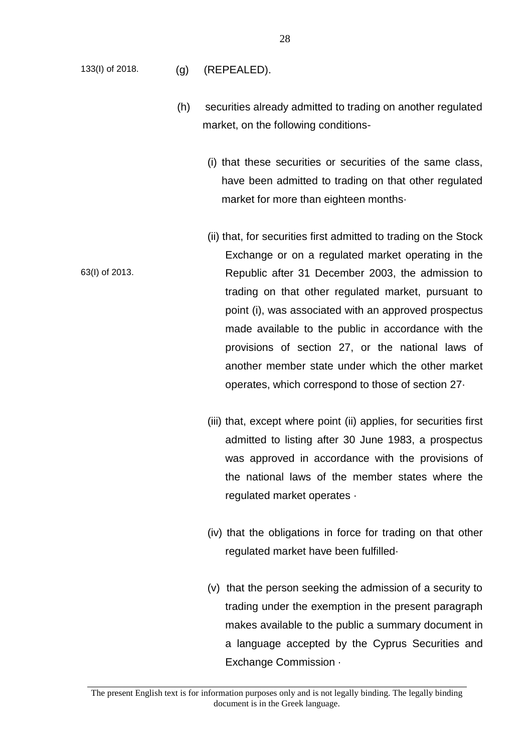- 133(I) of 2018. (g) (REPEALED).
	- (h) securities already admitted to trading on another regulated market, on the following conditions-
		- (i) that these securities or securities of the same class, have been admitted to trading on that other regulated market for more than eighteen months·
- 63(I) of 2013. (ii) that, for securities first admitted to trading on the Stock Exchange or on a regulated market operating in the Republic after 31 December 2003, the admission to trading on that other regulated market, pursuant to point (i), was associated with an approved prospectus made available to the public in accordance with the provisions of section 27, or the national laws of another member state under which the other market operates, which correspond to those of section 27·
	- (iii) that, except where point (ii) applies, for securities first admitted to listing after 30 June 1983, a prospectus was approved in accordance with the provisions of the national laws of the member states where the regulated market operates ·
	- (iv) that the obligations in force for trading on that other regulated market have been fulfilled·
	- (v) that the person seeking the admission of a security to trading under the exemption in the present paragraph makes available to the public a summary document in a language accepted by the Cyprus Securities and Exchange Commission ·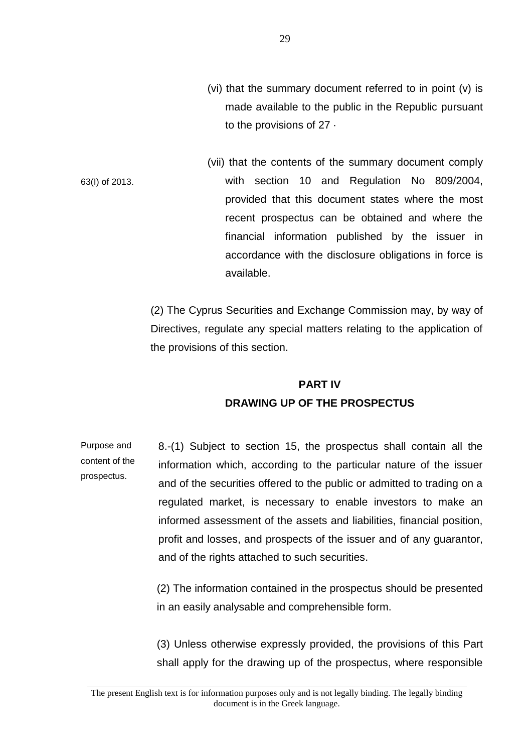(vi) that the summary document referred to in point (v) is made available to the public in the Republic pursuant to the provisions of 27 ·

63(I) of 2013. (vii) that the contents of the summary document comply with section 10 and Regulation No 809/2004, provided that this document states where the most recent prospectus can be obtained and where the financial information published by the issuer in accordance with the disclosure obligations in force is available.

> (2) The Cyprus Securities and Exchange Commission may, by way of Directives, regulate any special matters relating to the application of the provisions of this section.

#### **PART IV**

## **DRAWING UP OF THE PROSPECTUS**

Purpose and content of the prospectus. 8.-(1) Subject to section 15, the prospectus shall contain all the information which, according to the particular nature of the issuer and of the securities offered to the public or admitted to trading on a regulated market, is necessary to enable investors to make an informed assessment of the assets and liabilities, financial position, profit and losses, and prospects of the issuer and of any guarantor, and of the rights attached to such securities.

> (2) The information contained in the prospectus should be presented in an easily analysable and comprehensible form.

> (3) Unless otherwise expressly provided, the provisions of this Part shall apply for the drawing up of the prospectus, where responsible

The present English text is for information purposes only and is not legally binding. The legally binding document is in the Greek language.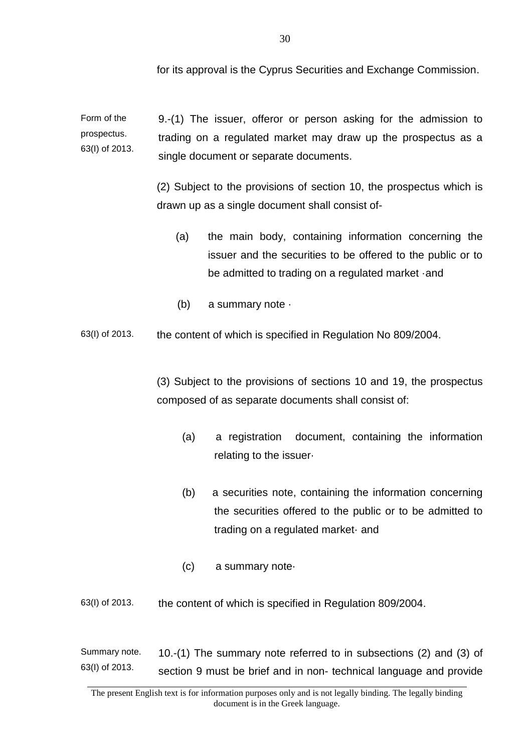for its approval is the Cyprus Securities and Exchange Commission.

Form of the prospectus. 63(I) of 2013. 9.-(1) The issuer, offeror or person asking for the admission to trading on a regulated market may draw up the prospectus as a single document or separate documents.

> (2) Subject to the provisions of section 10, the prospectus which is drawn up as a single document shall consist of-

- (a) the main body, containing information concerning the issuer and the securities to be offered to the public or to be admitted to trading on a regulated market ·and
- (b) a summary note ·
- 63(I) of 2013. the content of which is specified in Regulation No 809/2004.

(3) Subject to the provisions of sections 10 and 19, the prospectus composed of as separate documents shall consist of:

- (a) a registration document, containing the information relating to the issuer·
- (b) a securities note, containing the information concerning the securities offered to the public or to be admitted to trading on a regulated market· and
- (c) a summary note·
- 63(I) of 2013. the content of which is specified in Regulation 809/2004.

Summary note. 63(I) of 2013. 10.-(1) The summary note referred to in subsections (2) and (3) of section 9 must be brief and in non- technical language and provide

The present English text is for information purposes only and is not legally binding. The legally binding document is in the Greek language.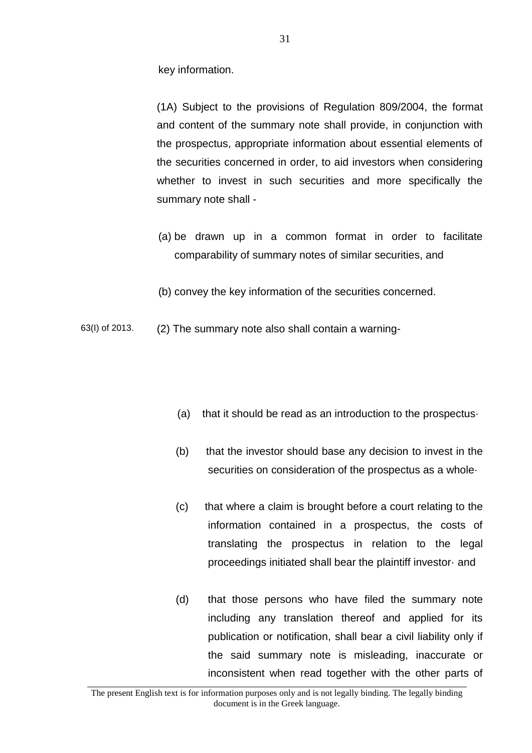key information.

(1A) Subject to the provisions of Regulation 809/2004, the format and content of the summary note shall provide, in conjunction with the prospectus, appropriate information about essential elements of the securities concerned in order, to aid investors when considering whether to invest in such securities and more specifically the summary note shall -

- (a) be drawn up in a common format in order to facilitate comparability of summary notes of similar securities, and
- (b) convey the key information of the securities concerned.
- 63(I) of 2013. (2) The summary note also shall contain a warning-
	- (a) that it should be read as an introduction to the prospectus·
	- (b) that the investor should base any decision to invest in the securities on consideration of the prospectus as a whole·
	- (c) that where a claim is brought before a court relating to the information contained in a prospectus, the costs of translating the prospectus in relation to the legal proceedings initiated shall bear the plaintiff investor· and
	- (d) that those persons who have filed the summary note including any translation thereof and applied for its publication or notification, shall bear a civil liability only if the said summary note is misleading, inaccurate or inconsistent when read together with the other parts of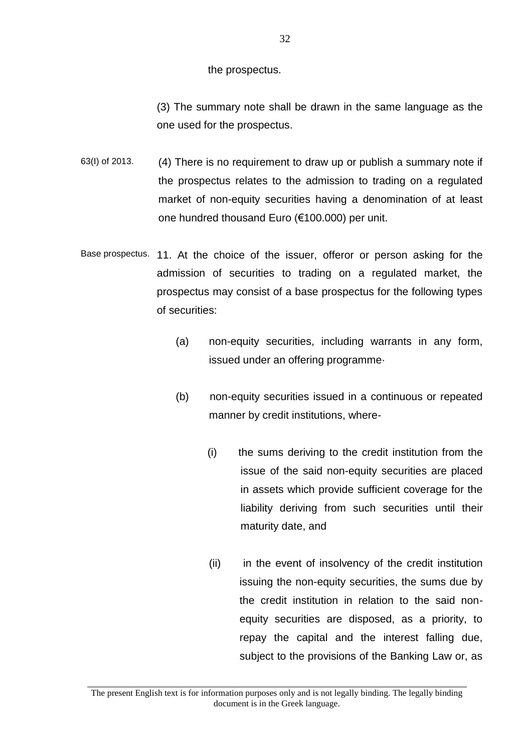the prospectus.

(3) The summary note shall be drawn in the same language as the one used for the prospectus.

- 63(I) of 2013. (4) There is no requirement to draw up or publish a summary note if the prospectus relates to the admission to trading on a regulated market of non-equity securities having a denomination of at least one hundred thousand Euro (€100.000) per unit.
- Base prospectus. 11. At the choice of the issuer, offeror or person asking for the admission of securities to trading on a regulated market, the prospectus may consist of a base prospectus for the following types of securities:
	- (a) non-equity securities, including warrants in any form, issued under an offering programme·
	- (b) non-equity securities issued in a continuous or repeated manner by credit institutions, where-
		- (i) the sums deriving to the credit institution from the issue of the said non-equity securities are placed in assets which provide sufficient coverage for the liability deriving from such securities until their maturity date, and
		- (ii) in the event of insolvency of the credit institution issuing the non-equity securities, the sums due by the credit institution in relation to the said nonequity securities are disposed, as a priority, to repay the capital and the interest falling due, subject to the provisions of the Banking Law or, as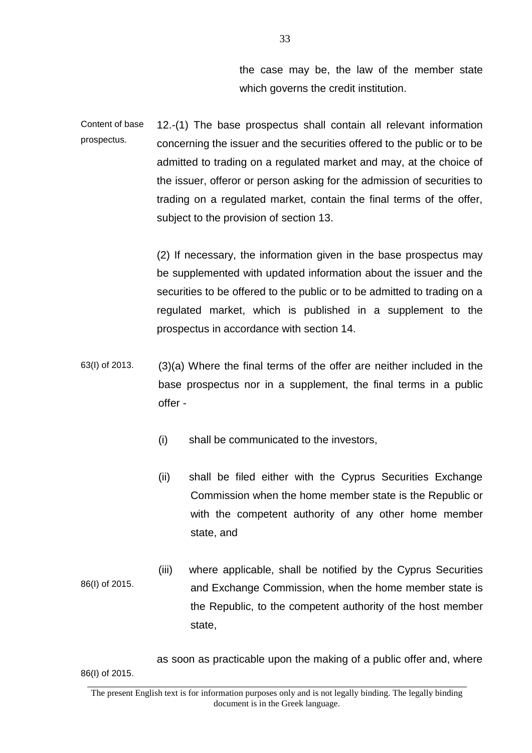the case may be, the law of the member state which governs the credit institution.

Content of base prospectus. 12.-(1) The base prospectus shall contain all relevant information concerning the issuer and the securities offered to the public or to be admitted to trading on a regulated market and may, at the choice of the issuer, offeror or person asking for the admission of securities to trading on a regulated market, contain the final terms of the offer, subject to the provision of section 13.

> (2) If necessary, the information given in the base prospectus may be supplemented with updated information about the issuer and the securities to be offered to the public or to be admitted to trading on a regulated market, which is published in a supplement to the prospectus in accordance with section 14.

- 63(I) of 2013. (3)(a) Where the final terms of the offer are neither included in the base prospectus nor in a supplement, the final terms in a public offer -
	- (i) shall be communicated to the investors,
	- (ii) shall be filed either with the Cyprus Securities Exchange Commission when the home member state is the Republic or with the competent authority of any other home member state, and
- 86(I) of 2015. (iii) where applicable, shall be notified by the Cyprus Securities and Exchange Commission, when the home member state is the Republic, to the competent authority of the host member state,

86(I) of 2015. as soon as practicable upon the making of a public offer and, where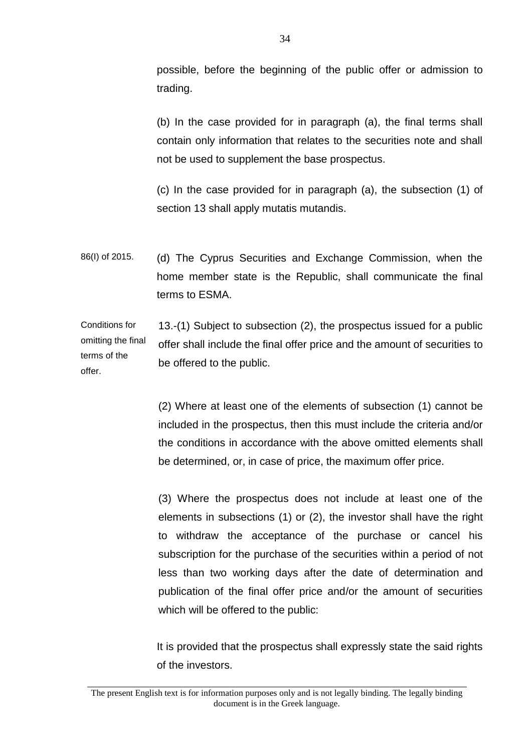possible, before the beginning of the public offer or admission to trading.

(b) In the case provided for in paragraph (a), the final terms shall contain only information that relates to the securities note and shall not be used to supplement the base prospectus.

(c) In the case provided for in paragraph (a), the subsection (1) of section 13 shall apply mutatis mutandis.

86(I) of 2015. (d) The Cyprus Securities and Exchange Commission, when the home member state is the Republic, shall communicate the final terms to ESMA.

Conditions for omitting the final terms of the offer. 13.-(1) Subject to subsection (2), the prospectus issued for a public offer shall include the final offer price and the amount of securities to be offered to the public.

> (2) Where at least one of the elements of subsection (1) cannot be included in the prospectus, then this must include the criteria and/or the conditions in accordance with the above omitted elements shall be determined, or, in case of price, the maximum offer price.

> (3) Where the prospectus does not include at least one of the elements in subsections (1) or (2), the investor shall have the right to withdraw the acceptance of the purchase or cancel his subscription for the purchase of the securities within a period of not less than two working days after the date of determination and publication of the final offer price and/or the amount of securities which will be offered to the public:

> It is provided that the prospectus shall expressly state the said rights of the investors.

The present English text is for information purposes only and is not legally binding. The legally binding document is in the Greek language.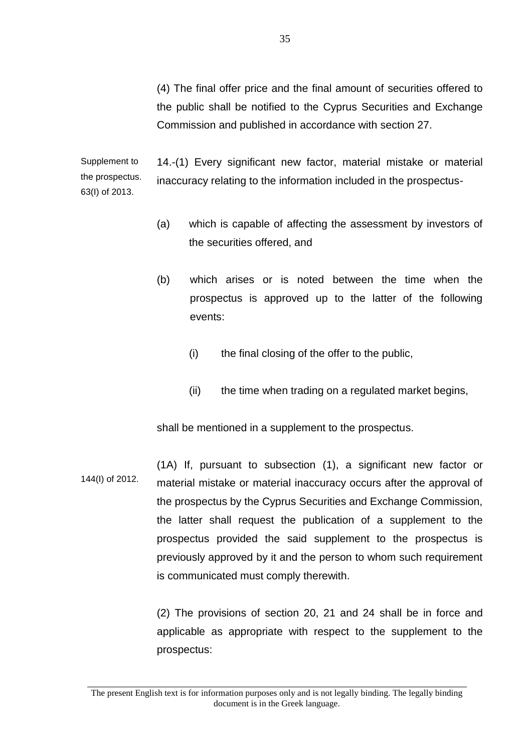(4) The final offer price and the final amount of securities offered to the public shall be notified to the Cyprus Securities and Exchange Commission and published in accordance with section 27.

Supplement to the prospectus. 63(I) of 2013. 14.-(1) Every significant new factor, material mistake or material inaccuracy relating to the information included in the prospectus-

- (a) which is capable of affecting the assessment by investors of the securities offered, and
- (b) which arises or is noted between the time when the prospectus is approved up to the latter of the following events:
	- (i) the final closing of the offer to the public,
	- (ii) the time when trading on a regulated market begins,

shall be mentioned in a supplement to the prospectus.

144(I) of 2012. (1A) If, pursuant to subsection (1), a significant new factor or material mistake or material inaccuracy occurs after the approval of the prospectus by the Cyprus Securities and Exchange Commission, the latter shall request the publication of a supplement to the prospectus provided the said supplement to the prospectus is previously approved by it and the person to whom such requirement is communicated must comply therewith.

> (2) The provisions of section 20, 21 and 24 shall be in force and applicable as appropriate with respect to the supplement to the prospectus:

The present English text is for information purposes only and is not legally binding. The legally binding document is in the Greek language.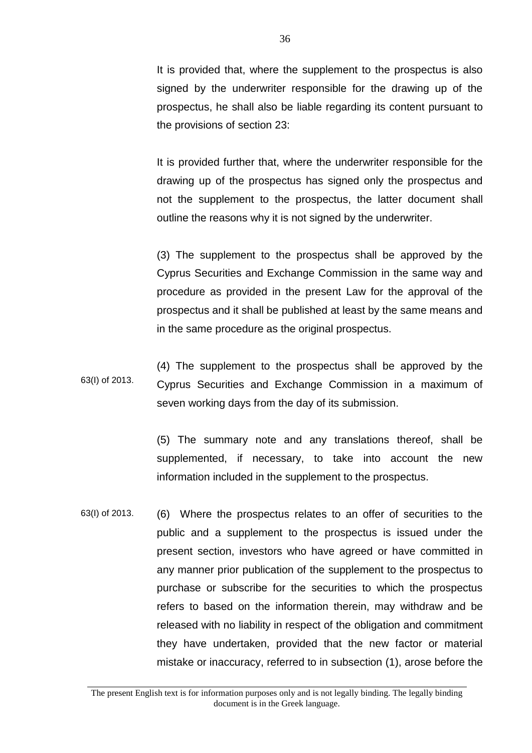It is provided that, where the supplement to the prospectus is also signed by the underwriter responsible for the drawing up of the prospectus, he shall also be liable regarding its content pursuant to the provisions of section 23:

It is provided further that, where the underwriter responsible for the drawing up of the prospectus has signed only the prospectus and not the supplement to the prospectus, the latter document shall outline the reasons why it is not signed by the underwriter.

(3) The supplement to the prospectus shall be approved by the Cyprus Securities and Exchange Commission in the same way and procedure as provided in the present Law for the approval of the prospectus and it shall be published at least by the same means and in the same procedure as the original prospectus.

63(I) of 2013. (4) The supplement to the prospectus shall be approved by the Cyprus Securities and Exchange Commission in a maximum of seven working days from the day of its submission.

> (5) The summary note and any translations thereof, shall be supplemented, if necessary, to take into account the new information included in the supplement to the prospectus.

63(I) of 2013. (6) Where the prospectus relates to an offer of securities to the public and a supplement to the prospectus is issued under the present section, investors who have agreed or have committed in any manner prior publication of the supplement to the prospectus to purchase or subscribe for the securities to which the prospectus refers to based on the information therein, may withdraw and be released with no liability in respect of the obligation and commitment they have undertaken, provided that the new factor or material mistake or inaccuracy, referred to in subsection (1), arose before the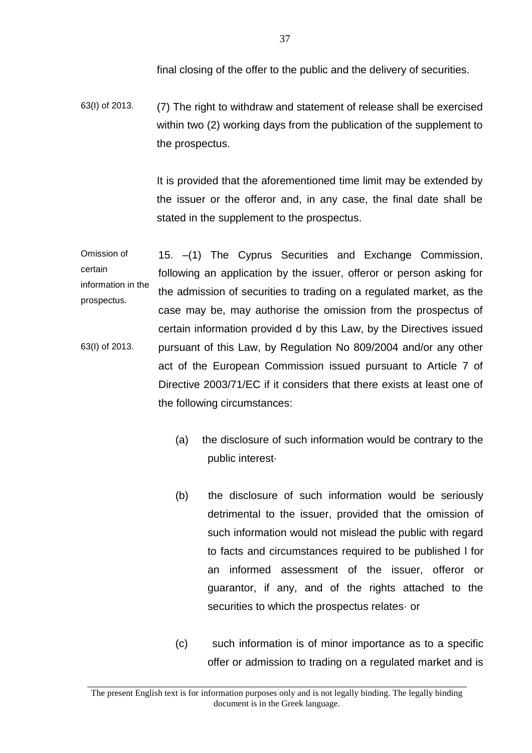final closing of the offer to the public and the delivery of securities.

63(I) of 2013. (7) The right to withdraw and statement of release shall be exercised within two (2) working days from the publication of the supplement to the prospectus.

> It is provided that the aforementioned time limit may be extended by the issuer or the offeror and, in any case, the final date shall be stated in the supplement to the prospectus.

Omission of certain information in the prospectus. 63(I) of 2013. 15. –(1) The Cyprus Securities and Exchange Commission, following an application by the issuer, offeror or person asking for the admission of securities to trading on a regulated market, as the case may be, may authorise the omission from the prospectus of certain information provided d by this Law, by the Directives issued pursuant of this Law, by Regulation No 809/2004 and/or any other act of the European Commission issued pursuant to Article 7 of Directive 2003/71/EC if it considers that there exists at least one of the following circumstances:

- (a) the disclosure of such information would be contrary to the public interest·
- (b) the disclosure of such information would be seriously detrimental to the issuer, provided that the omission of such information would not mislead the public with regard to facts and circumstances required to be published l for an informed assessment of the issuer, offeror or guarantor, if any, and of the rights attached to the securities to which the prospectus relates· or
- (c) such information is of minor importance as to a specific offer or admission to trading on a regulated market and is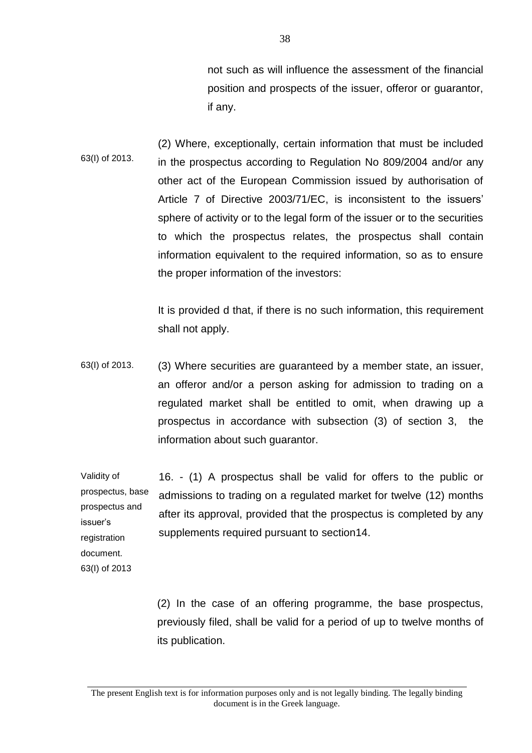not such as will influence the assessment of the financial position and prospects of the issuer, offeror or guarantor, if any.

63(I) of 2013. (2) Where, exceptionally, certain information that must be included in the prospectus according to Regulation No 809/2004 and/or any other act of the European Commission issued by authorisation of Article 7 of Directive 2003/71/EC, is inconsistent to the issuers' sphere of activity or to the legal form of the issuer or to the securities to which the prospectus relates, the prospectus shall contain information equivalent to the required information, so as to ensure the proper information of the investors:

> It is provided d that, if there is no such information, this requirement shall not apply.

63(I) of 2013. (3) Where securities are guaranteed by a member state, an issuer, an offeror and/or a person asking for admission to trading on a regulated market shall be entitled to omit, when drawing up a prospectus in accordance with subsection (3) of section 3, the information about such guarantor.

Validity of prospectus, base prospectus and issuer's registration document. 16. - (1) A prospectus shall be valid for offers to the public or admissions to trading on a regulated market for twelve (12) months after its approval, provided that the prospectus is completed by any supplements required pursuant to section14.

63(I) of 2013

(2) In the case of an offering programme, the base prospectus, previously filed, shall be valid for a period of up to twelve months of its publication.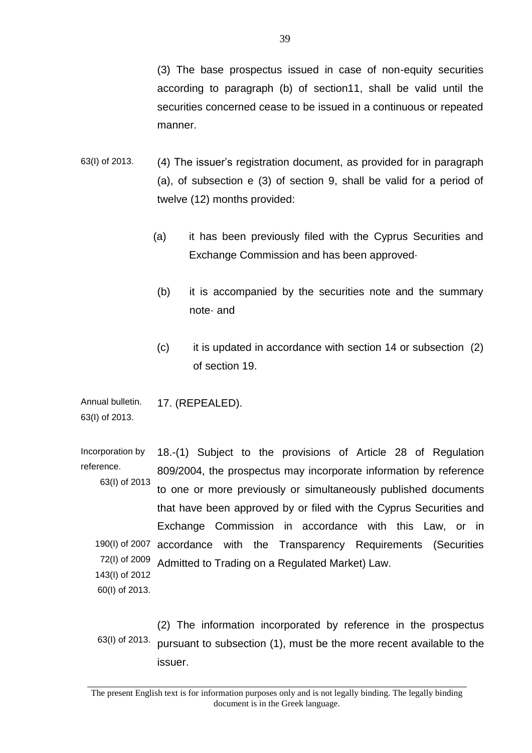(3) The base prospectus issued in case of non-equity securities according to paragraph (b) of section11, shall be valid until the securities concerned cease to be issued in a continuous or repeated manner.

- 63(I) of 2013. (4) The issuer's registration document, as provided for in paragraph (a), of subsection e (3) of section 9, shall be valid for a period of twelve (12) months provided:
	- (a) it has been previously filed with the Cyprus Securities and Exchange Commission and has been approved·
	- (b) it is accompanied by the securities note and the summary note· and
	- (c) it is updated in accordance with section 14 or subsection (2) of section 19.

Annual bulletin. 63(I) of 2013. 17. (REPEALED).

Incorporation by reference. 63(I) of 2013 190(I) of 2007 accordance with the Transparency Requirements (Securities 72(I) of 2009 143(I) of 2012 60(I) of 2013. 18.-(1) Subject to the provisions of Article 28 of Regulation 809/2004, the prospectus may incorporate information by reference to one or more previously or simultaneously published documents that have been approved by or filed with the Cyprus Securities and Exchange Commission in accordance with this Law, or in Admitted to Trading on a Regulated Market) Law.

63(I) of 2013. (2) The information incorporated by reference in the prospectus pursuant to subsection (1), must be the more recent available to the issuer.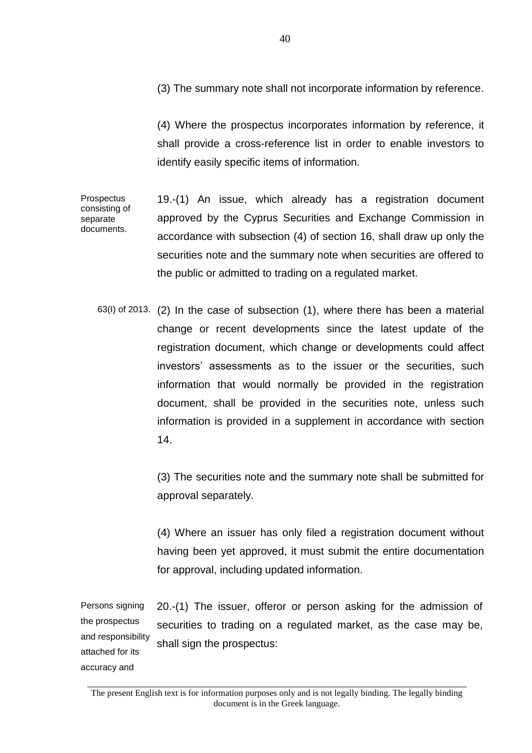(3) The summary note shall not incorporate information by reference.

(4) Where the prospectus incorporates information by reference, it shall provide a cross-reference list in order to enable investors to identify easily specific items of information.

Prospectus consisting of separate documents. 19.-(1) An issue, which already has a registration document approved by the Cyprus Securities and Exchange Commission in accordance with subsection (4) of section 16, shall draw up only the securities note and the summary note when securities are offered to the public or admitted to trading on a regulated market.

63(I) of 2013. (2) In the case of subsection (1), where there has been a material change or recent developments since the latest update of the registration document, which change or developments could affect investors' assessments as to the issuer or the securities, such information that would normally be provided in the registration document, shall be provided in the securities note, unless such information is provided in a supplement in accordance with section 14.

> (3) The securities note and the summary note shall be submitted for approval separately.

> (4) Where an issuer has only filed a registration document without having been yet approved, it must submit the entire documentation for approval, including updated information.

Persons signing the prospectus and responsibility attached for its 20.-(1) The issuer, offeror or person asking for the admission of securities to trading on a regulated market, as the case may be, shall sign the prospectus:

accuracy and

The present English text is for information purposes only and is not legally binding. The legally binding document is in the Greek language.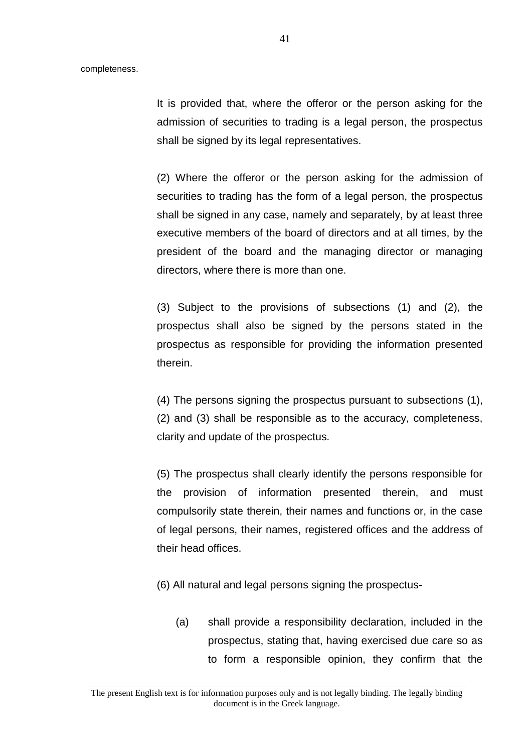It is provided that, where the offeror or the person asking for the admission of securities to trading is a legal person, the prospectus shall be signed by its legal representatives.

(2) Where the offeror or the person asking for the admission of securities to trading has the form of a legal person, the prospectus shall be signed in any case, namely and separately, by at least three executive members of the board of directors and at all times, by the president of the board and the managing director or managing directors, where there is more than one.

(3) Subject to the provisions of subsections (1) and (2), the prospectus shall also be signed by the persons stated in the prospectus as responsible for providing the information presented therein.

(4) The persons signing the prospectus pursuant to subsections (1), (2) and (3) shall be responsible as to the accuracy, completeness, clarity and update of the prospectus.

(5) The prospectus shall clearly identify the persons responsible for the provision of information presented therein, and must compulsorily state therein, their names and functions or, in the case of legal persons, their names, registered offices and the address of their head offices.

- (6) All natural and legal persons signing the prospectus-
	- (a) shall provide a responsibility declaration, included in the prospectus, stating that, having exercised due care so as to form a responsible opinion, they confirm that the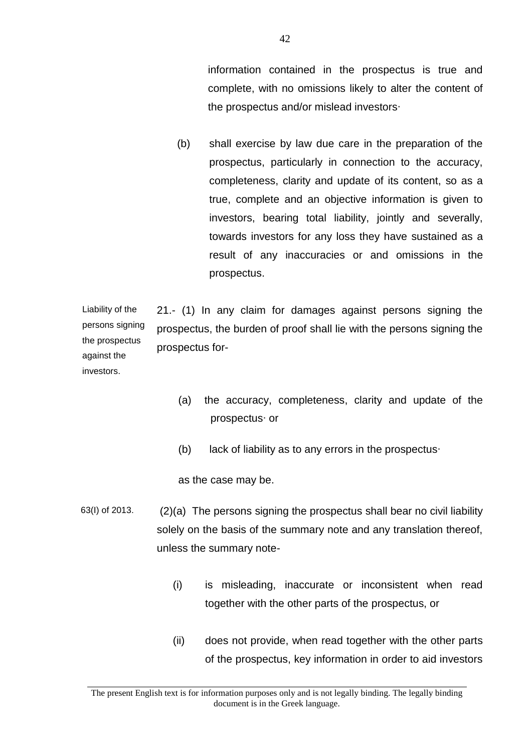information contained in the prospectus is true and complete, with no omissions likely to alter the content of the prospectus and/or mislead investors∙

(b) shall exercise by law due care in the preparation of the prospectus, particularly in connection to the accuracy, completeness, clarity and update of its content, so as a true, complete and an objective information is given to investors, bearing total liability, jointly and severally, towards investors for any loss they have sustained as a result of any inaccuracies or and omissions in the prospectus.

Liability of the persons signing the prospectus against the investors. 21.- (1) In any claim for damages against persons signing the prospectus, the burden of proof shall lie with the persons signing the prospectus for-

- (a) the accuracy, completeness, clarity and update of the prospectus∙ or
- (b) lack of liability as to any errors in the prospectus∙

as the case may be.

- 63(I) of 2013. (2)(a) The persons signing the prospectus shall bear no civil liability solely on the basis of the summary note and any translation thereof, unless the summary note-
	- (i) is misleading, inaccurate or inconsistent when read together with the other parts of the prospectus, or
	- (ii) does not provide, when read together with the other parts of the prospectus, key information in order to aid investors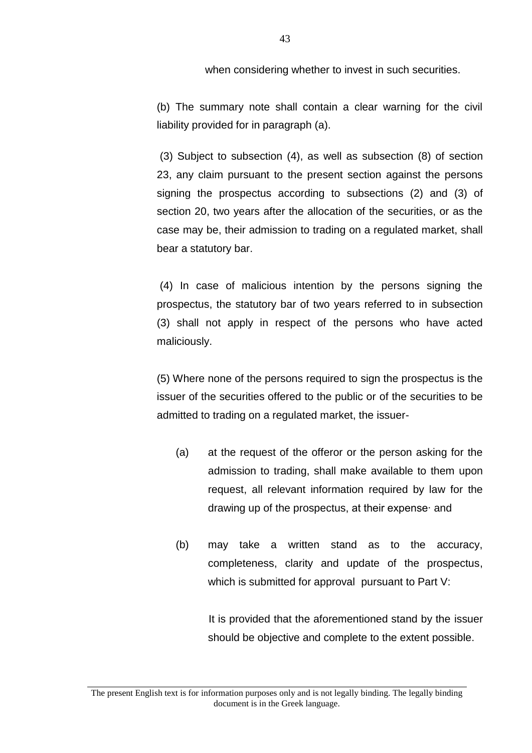when considering whether to invest in such securities.

(b) The summary note shall contain a clear warning for the civil liability provided for in paragraph (a).

(3) Subject to subsection (4), as well as subsection (8) of section 23, any claim pursuant to the present section against the persons signing the prospectus according to subsections (2) and (3) of section 20, two years after the allocation of the securities, or as the case may be, their admission to trading on a regulated market, shall bear a statutory bar.

(4) In case of malicious intention by the persons signing the prospectus, the statutory bar of two years referred to in subsection (3) shall not apply in respect of the persons who have acted maliciously.

(5) Where none of the persons required to sign the prospectus is the issuer of the securities offered to the public or of the securities to be admitted to trading on a regulated market, the issuer-

- (a) at the request of the offeror or the person asking for the admission to trading, shall make available to them upon request, all relevant information required by law for the drawing up of the prospectus, at their expense∙ and
- (b) may take a written stand as to the accuracy, completeness, clarity and update of the prospectus, which is submitted for approval pursuant to Part V:

 It is provided that the aforementioned stand by the issuer should be objective and complete to the extent possible.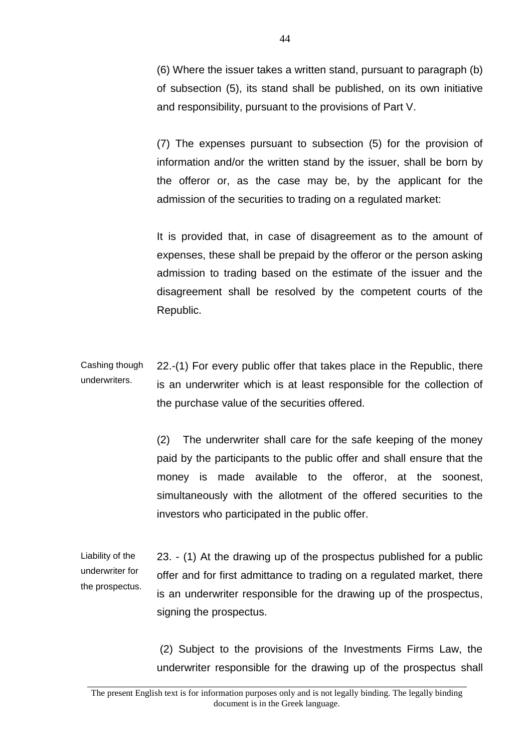(6) Where the issuer takes a written stand, pursuant to paragraph (b) of subsection (5), its stand shall be published, on its own initiative and responsibility, pursuant to the provisions of Part V.

(7) The expenses pursuant to subsection (5) for the provision of information and/or the written stand by the issuer, shall be born by the offeror or, as the case may be, by the applicant for the admission of the securities to trading on a regulated market:

It is provided that, in case of disagreement as to the amount of expenses, these shall be prepaid by the offeror or the person asking admission to trading based on the estimate of the issuer and the disagreement shall be resolved by the competent courts of the Republic.

Cashing though underwriters. 22.-(1) For every public offer that takes place in the Republic, there is an underwriter which is at least responsible for the collection of the purchase value of the securities offered.

> (2) The underwriter shall care for the safe keeping of the money paid by the participants to the public offer and shall ensure that the money is made available to the offeror, at the soonest, simultaneously with the allotment of the offered securities to the investors who participated in the public offer.

Liability of the underwriter for the prospectus. 23. - (1) At the drawing up of the prospectus published for a public offer and for first admittance to trading on a regulated market, there is an underwriter responsible for the drawing up of the prospectus, signing the prospectus.

> (2) Subject to the provisions of the Investments Firms Law, the underwriter responsible for the drawing up of the prospectus shall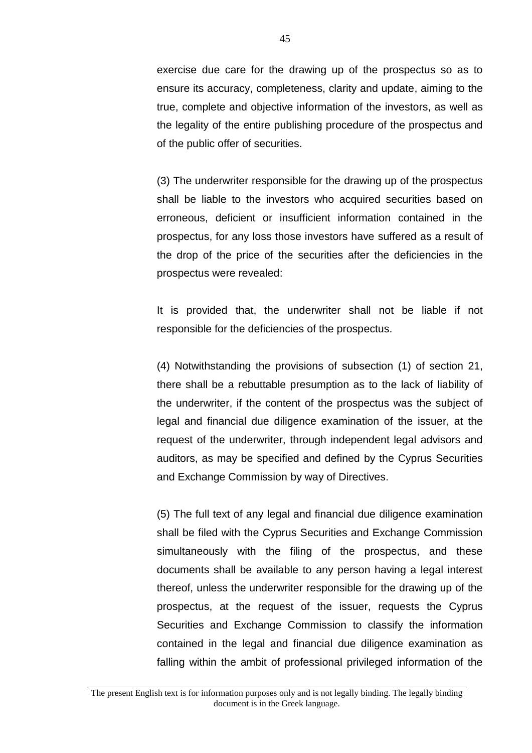exercise due care for the drawing up of the prospectus so as to ensure its accuracy, completeness, clarity and update, aiming to the true, complete and objective information of the investors, as well as the legality of the entire publishing procedure of the prospectus and of the public offer of securities.

(3) The underwriter responsible for the drawing up of the prospectus shall be liable to the investors who acquired securities based on erroneous, deficient or insufficient information contained in the prospectus, for any loss those investors have suffered as a result of the drop of the price of the securities after the deficiencies in the prospectus were revealed:

It is provided that, the underwriter shall not be liable if not responsible for the deficiencies of the prospectus.

(4) Notwithstanding the provisions of subsection (1) of section 21, there shall be a rebuttable presumption as to the lack of liability of the underwriter, if the content of the prospectus was the subject of legal and financial due diligence examination of the issuer, at the request of the underwriter, through independent legal advisors and auditors, as may be specified and defined by the Cyprus Securities and Exchange Commission by way of Directives.

(5) The full text of any legal and financial due diligence examination shall be filed with the Cyprus Securities and Exchange Commission simultaneously with the filing of the prospectus, and these documents shall be available to any person having a legal interest thereof, unless the underwriter responsible for the drawing up of the prospectus, at the request of the issuer, requests the Cyprus Securities and Exchange Commission to classify the information contained in the legal and financial due diligence examination as falling within the ambit of professional privileged information of the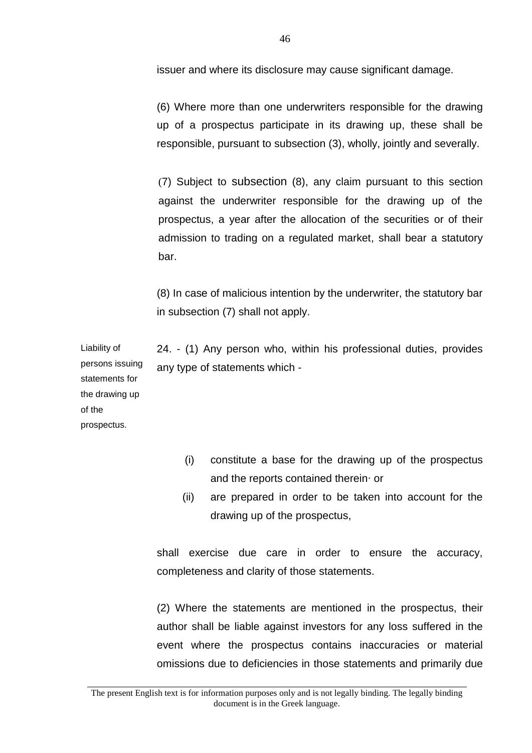issuer and where its disclosure may cause significant damage.

(6) Where more than one underwriters responsible for the drawing up of a prospectus participate in its drawing up, these shall be responsible, pursuant to subsection (3), wholly, jointly and severally.

(7) Subject to subsection (8), any claim pursuant to this section against the underwriter responsible for the drawing up of the prospectus, a year after the allocation of the securities or of their admission to trading on a regulated market, shall bear a statutory bar.

(8) In case of malicious intention by the underwriter, the statutory bar in subsection (7) shall not apply.

24. - (1) Any person who, within his professional duties, provides any type of statements which -

Liability of persons issuing statements for the drawing up of the prospectus.

- (i) constitute a base for the drawing up of the prospectus and the reports contained therein∙ or
- (ii) are prepared in order to be taken into account for the drawing up of the prospectus,

shall exercise due care in order to ensure the accuracy, completeness and clarity of those statements.

(2) Where the statements are mentioned in the prospectus, their author shall be liable against investors for any loss suffered in the event where the prospectus contains inaccuracies or material omissions due to deficiencies in those statements and primarily due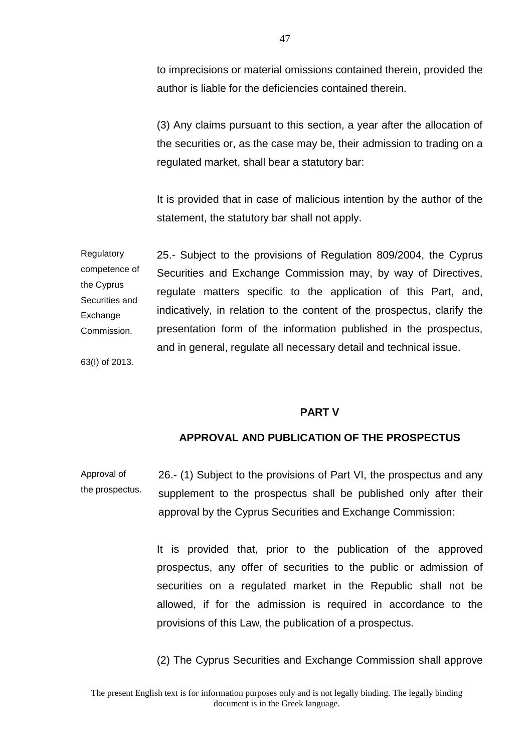to imprecisions or material omissions contained therein, provided the author is liable for the deficiencies contained therein.

(3) Any claims pursuant to this section, a year after the allocation of the securities or, as the case may be, their admission to trading on a regulated market, shall bear a statutory bar:

It is provided that in case of malicious intention by the author of the statement, the statutory bar shall not apply.

Regulatory competence of the Cyprus Securities and **Exchange** Commission. 63(I) of 2013. 25.- Subject to the provisions of Regulation 809/2004, the Cyprus Securities and Exchange Commission may, by way of Directives, regulate matters specific to the application of this Part, and, indicatively, in relation to the content of the prospectus, clarify the presentation form of the information published in the prospectus, and in general, regulate all necessary detail and technical issue.

#### **PART V**

### **APPROVAL AND PUBLICATION OF THE PROSPECTUS**

Approval of the prospectus. 26.- (1) Subject to the provisions of Part VI, the prospectus and any supplement to the prospectus shall be published only after their approval by the Cyprus Securities and Exchange Commission:

> It is provided that, prior to the publication of the approved prospectus, any offer of securities to the public or admission of securities on a regulated market in the Republic shall not be allowed, if for the admission is required in accordance to the provisions of this Law, the publication of a prospectus.

> (2) The Cyprus Securities and Exchange Commission shall approve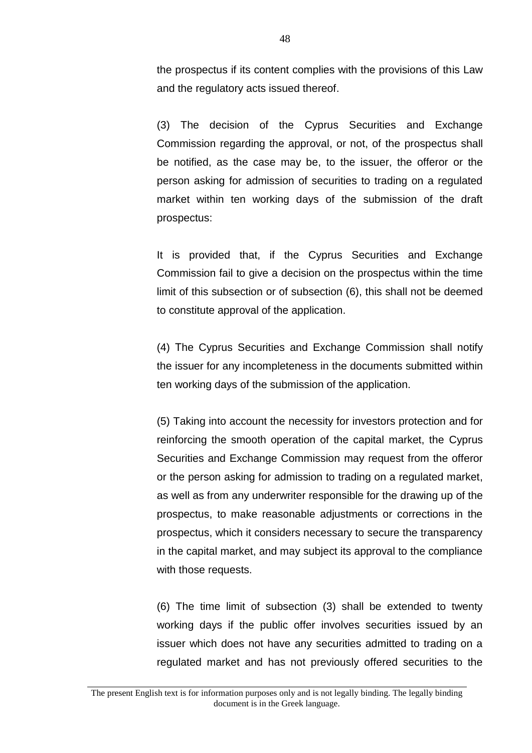the prospectus if its content complies with the provisions of this Law and the regulatory acts issued thereof.

(3) The decision of the Cyprus Securities and Exchange Commission regarding the approval, or not, of the prospectus shall be notified, as the case may be, to the issuer, the offeror or the person asking for admission of securities to trading on a regulated market within ten working days of the submission of the draft prospectus:

It is provided that, if the Cyprus Securities and Exchange Commission fail to give a decision on the prospectus within the time limit of this subsection or of subsection (6), this shall not be deemed to constitute approval of the application.

(4) Τhe Cyprus Securities and Exchange Commission shall notify the issuer for any incompleteness in the documents submitted within ten working days of the submission of the application.

(5) Taking into account the necessity for investors protection and for reinforcing the smooth operation of the capital market, the Cyprus Securities and Exchange Commission may request from the offeror or the person asking for admission to trading on a regulated market, as well as from any underwriter responsible for the drawing up of the prospectus, to make reasonable adjustments or corrections in the prospectus, which it considers necessary to secure the transparency in the capital market, and may subject its approval to the compliance with those requests.

(6) The time limit of subsection (3) shall be extended to twenty working days if the public offer involves securities issued by an issuer which does not have any securities admitted to trading on a regulated market and has not previously offered securities to the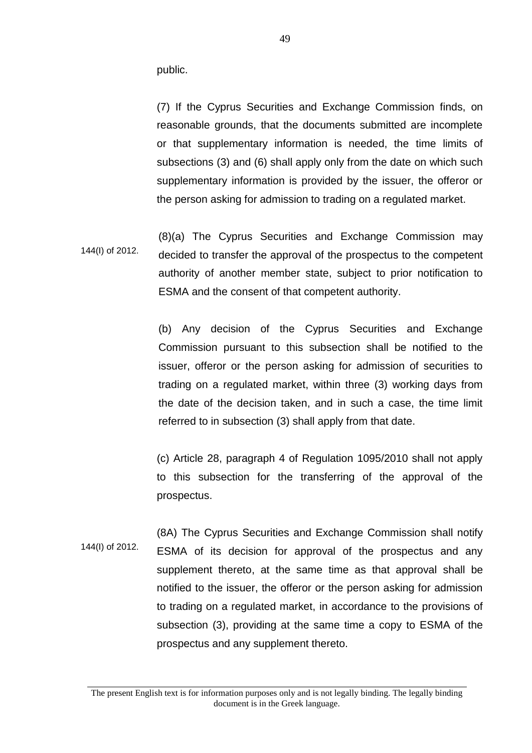public.

(7) If the Cyprus Securities and Exchange Commission finds, on reasonable grounds, that the documents submitted are incomplete or that supplementary information is needed, the time limits of subsections (3) and (6) shall apply only from the date on which such supplementary information is provided by the issuer, the offeror or the person asking for admission to trading on a regulated market.

144(I) of 2012. (8)(a) The Cyprus Securities and Exchange Commission may decided to transfer the approval of the prospectus to the competent authority of another member state, subject to prior notification to ESMA and the consent of that competent authority.

> (b) Any decision of the Cyprus Securities and Exchange Commission pursuant to this subsection shall be notified to the issuer, offeror or the person asking for admission of securities to trading on a regulated market, within three (3) working days from the date of the decision taken, and in such a case, the time limit referred to in subsection (3) shall apply from that date.

> (c) Article 28, paragraph 4 of Regulation 1095/2010 shall not apply to this subsection for the transferring of the approval of the prospectus.

144(I) of 2012. (8A) The Cyprus Securities and Exchange Commission shall notify ESMA of its decision for approval of the prospectus and any supplement thereto, at the same time as that approval shall be notified to the issuer, the offeror or the person asking for admission to trading on a regulated market, in accordance to the provisions of subsection (3), providing at the same time a copy to ESMA of the prospectus and any supplement thereto.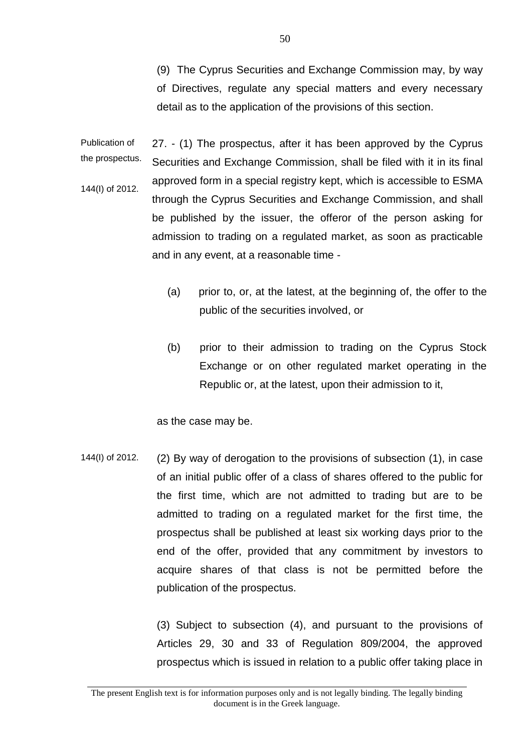(9) The Cyprus Securities and Exchange Commission may, by way of Directives, regulate any special matters and every necessary detail as to the application of the provisions of this section.

Publication of the prospectus. 144(I) of 2012. 27. - (1) The prospectus, after it has been approved by the Cyprus Securities and Exchange Commission, shall be filed with it in its final approved form in a special registry kept, which is accessible to ESMA through the Cyprus Securities and Exchange Commission, and shall be published by the issuer, the offeror of the person asking for admission to trading on a regulated market, as soon as practicable and in any event, at a reasonable time -

- (a) prior to, or, at the latest, at the beginning of, the offer to the public of the securities involved, or
- (b) prior to their admission to trading on the Cyprus Stock Exchange or on other regulated market operating in the Republic or, at the latest, upon their admission to it,

as the case may be.

144(I) of 2012. (2) By way of derogation to the provisions of subsection (1), in case of an initial public offer of a class of shares offered to the public for the first time, which are not admitted to trading but are to be admitted to trading on a regulated market for the first time, the prospectus shall be published at least six working days prior to the end of the offer, provided that any commitment by investors to acquire shares of that class is not be permitted before the publication of the prospectus.

> (3) Subject to subsection (4), and pursuant to the provisions of Articles 29, 30 and 33 of Regulation 809/2004, the approved prospectus which is issued in relation to a public offer taking place in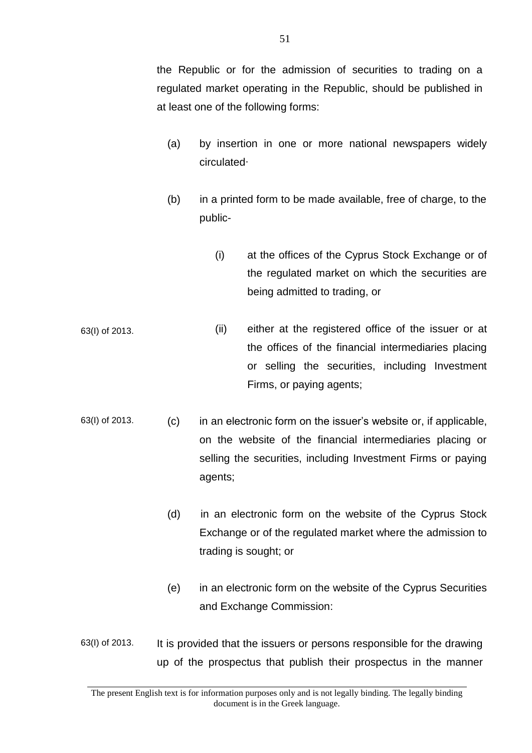the Republic or for the admission of securities to trading on a regulated market operating in the Republic, should be published in at least one of the following forms:

- (a) by insertion in one or more national newspapers widely circulated∙
- (b) in a printed form to be made available, free of charge, to the public-
	- (i) at the offices of the Cyprus Stock Exchange or of the regulated market on which the securities are being admitted to trading, or
- 63(I) of 2013. (ii) either at the registered office of the issuer or at the offices of the financial intermediaries placing or selling the securities, including Investment Firms, or paying agents;
- 63(I) of 2013. (c) in an electronic form on the issuer's website or, if applicable, on the website of the financial intermediaries placing or selling the securities, including Investment Firms or paying agents;
	- (d) in an electronic form on the website of the Cyprus Stock Exchange or of the regulated market where the admission to trading is sought; or
	- (e) in an electronic form on the website of the Cyprus Securities and Exchange Commission:
- 63(I) of 2013. It is provided that the issuers or persons responsible for the drawing up of the prospectus that publish their prospectus in the manner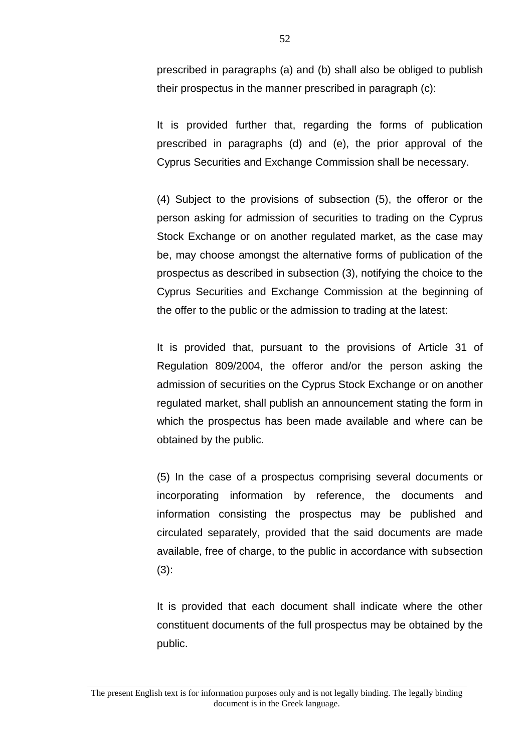prescribed in paragraphs (a) and (b) shall also be obliged to publish their prospectus in the manner prescribed in paragraph (c):

It is provided further that, regarding the forms of publication prescribed in paragraphs (d) and (e), the prior approval of the Cyprus Securities and Exchange Commission shall be necessary.

(4) Subject to the provisions of subsection (5), the offeror or the person asking for admission of securities to trading on the Cyprus Stock Exchange or on another regulated market, as the case may be, may choose amongst the alternative forms of publication of the prospectus as described in subsection (3), notifying the choice to the Cyprus Securities and Exchange Commission at the beginning of the offer to the public or the admission to trading at the latest:

It is provided that, pursuant to the provisions of Article 31 of Regulation 809/2004, the offeror and/or the person asking the admission of securities on the Cyprus Stock Exchange or on another regulated market, shall publish an announcement stating the form in which the prospectus has been made available and where can be obtained by the public.

(5) In the case of a prospectus comprising several documents or incorporating information by reference, the documents and information consisting the prospectus may be published and circulated separately, provided that the said documents are made available, free of charge, to the public in accordance with subsection  $(3)$ :

It is provided that each document shall indicate where the other constituent documents of the full prospectus may be obtained by the public.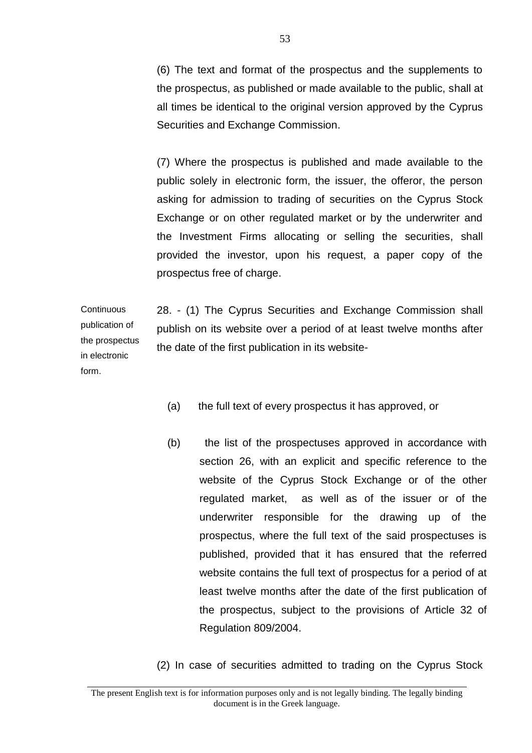(6) The text and format of the prospectus and the supplements to the prospectus, as published or made available to the public, shall at all times be identical to the original version approved by the Cyprus Securities and Exchange Commission.

(7) Where the prospectus is published and made available to the public solely in electronic form, the issuer, the offeror, the person asking for admission to trading of securities on the Cyprus Stock Exchange or on other regulated market or by the underwriter and the Investment Firms allocating or selling the securities, shall provided the investor, upon his request, a paper copy of the prospectus free of charge.

**Continuous** publication of the prospectus in electronic 28. - (1) The Cyprus Securities and Exchange Commission shall publish on its website over a period of at least twelve months after the date of the first publication in its website-

form.

- (a) the full text of every prospectus it has approved, or
- (b) the list of the prospectuses approved in accordance with section 26, with an explicit and specific reference to the website of the Cyprus Stock Exchange or of the other regulated market, as well as of the issuer or of the underwriter responsible for the drawing up of the prospectus, where the full text of the said prospectuses is published, provided that it has ensured that the referred website contains the full text of prospectus for a period of at least twelve months after the date of the first publication of the prospectus, subject to the provisions of Article 32 of Regulation 809/2004.
- (2) In case of securities admitted to trading on the Cyprus Stock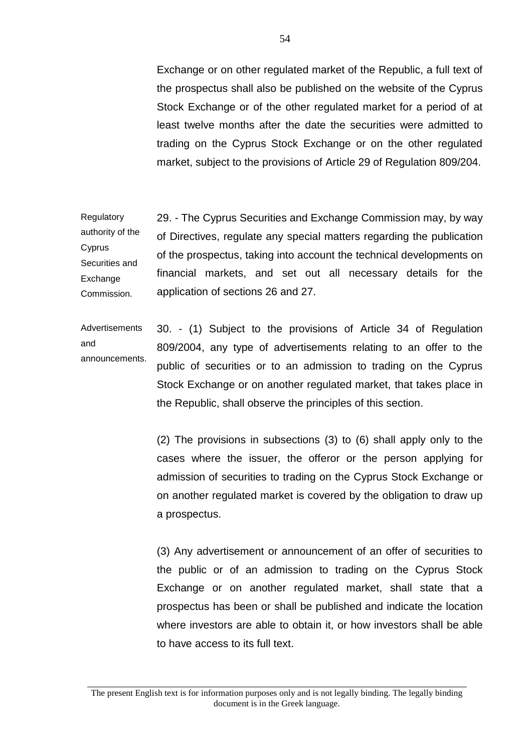Exchange or on other regulated market of the Republic, a full text of the prospectus shall also be published on the website of the Cyprus Stock Exchange or of the other regulated market for a period of at least twelve months after the date the securities were admitted to trading on the Cyprus Stock Exchange or on the other regulated market, subject to the provisions of Article 29 of Regulation 809/204.

Regulatory authority of the Cyprus Securities and Exchange Commission. 29. - The Cyprus Securities and Exchange Commission may, by way of Directives, regulate any special matters regarding the publication of the prospectus, taking into account the technical developments on financial markets, and set out all necessary details for the application of sections 26 and 27.

Advertisements and announcements. 30. - (1) Subject to the provisions of Article 34 of Regulation 809/2004, any type of advertisements relating to an offer to the public of securities or to an admission to trading on the Cyprus Stock Exchange or on another regulated market, that takes place in the Republic, shall observe the principles of this section.

> (2) The provisions in subsections (3) to (6) shall apply only to the cases where the issuer, the offeror or the person applying for admission of securities to trading on the Cyprus Stock Exchange or on another regulated market is covered by the obligation to draw up a prospectus.

> (3) Any advertisement or announcement of an offer of securities to the public or of an admission to trading on the Cyprus Stock Exchange or on another regulated market, shall state that a prospectus has been or shall be published and indicate the location where investors are able to obtain it, or how investors shall be able to have access to its full text.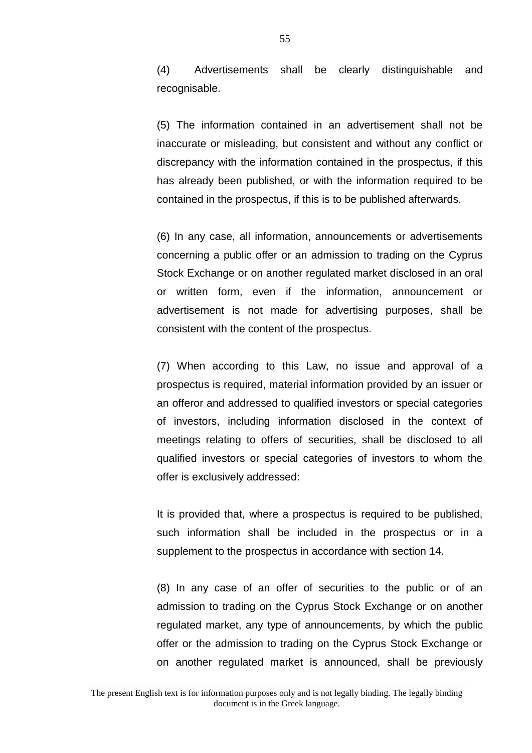(4) Advertisements shall be clearly distinguishable and recognisable.

(5) The information contained in an advertisement shall not be inaccurate or misleading, but consistent and without any conflict or discrepancy with the information contained in the prospectus, if this has already been published, or with the information required to be contained in the prospectus, if this is to be published afterwards.

(6) In any case, all information, announcements or advertisements concerning a public offer or an admission to trading on the Cyprus Stock Exchange or on another regulated market disclosed in an oral or written form, even if the information, announcement or advertisement is not made for advertising purposes, shall be consistent with the content of the prospectus.

(7) When according to this Law, no issue and approval of a prospectus is required, material information provided by an issuer or an offeror and addressed to qualified investors or special categories of investors, including information disclosed in the context of meetings relating to offers of securities, shall be disclosed to all qualified investors or special categories of investors to whom the offer is exclusively addressed:

It is provided that, where a prospectus is required to be published, such information shall be included in the prospectus or in a supplement to the prospectus in accordance with section 14.

(8) In any case of an offer of securities to the public or of an admission to trading on the Cyprus Stock Exchange or on another regulated market, any type of announcements, by which the public offer or the admission to trading on the Cyprus Stock Exchange or on another regulated market is announced, shall be previously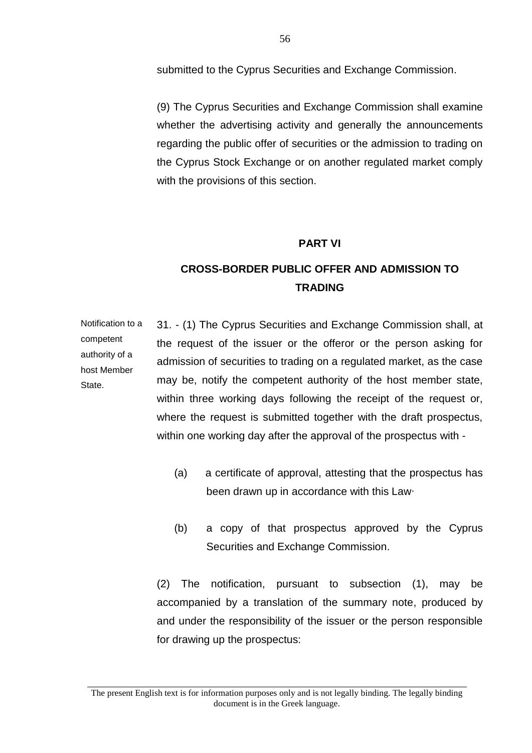submitted to the Cyprus Securities and Exchange Commission.

(9) The Cyprus Securities and Exchange Commission shall examine whether the advertising activity and generally the announcements regarding the public offer of securities or the admission to trading on the Cyprus Stock Exchange or on another regulated market comply with the provisions of this section.

#### **PART VI**

## **CROSS-BORDER PUBLIC OFFER AND ADMISSION TO TRADING**

Notification to a competent authority of a host Member **State** 31. - (1) The Cyprus Securities and Exchange Commission shall, at the request of the issuer or the offeror or the person asking for admission of securities to trading on a regulated market, as the case may be, notify the competent authority of the host member state, within three working days following the receipt of the request or, where the request is submitted together with the draft prospectus, within one working day after the approval of the prospectus with -

- (a) a certificate of approval, attesting that the prospectus has been drawn up in accordance with this Law∙
- (b) a copy of that prospectus approved by the Cyprus Securities and Exchange Commission.

(2) The notification, pursuant to subsection (1), may be accompanied by a translation of the summary note, produced by and under the responsibility of the issuer or the person responsible for drawing up the prospectus: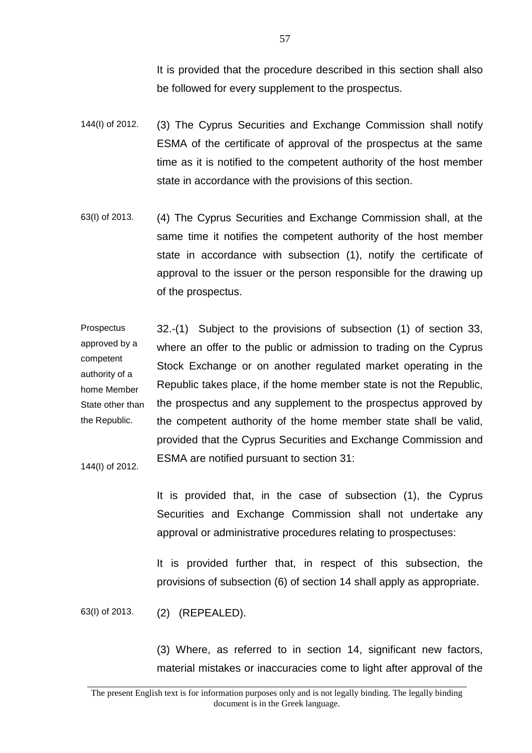It is provided that the procedure described in this section shall also be followed for every supplement to the prospectus.

- 144(I) of 2012. (3) The Cyprus Securities and Exchange Commission shall notify ESMA of the certificate of approval of the prospectus at the same time as it is notified to the competent authority of the host member state in accordance with the provisions of this section.
- 63(I) of 2013. (4) The Cyprus Securities and Exchange Commission shall, at the same time it notifies the competent authority of the host member state in accordance with subsection (1), notify the certificate of approval to the issuer or the person responsible for the drawing up of the prospectus.

**Prospectus** approved by a competent authority of a home Member State other than the Republic. 32.-(1) Subject to the provisions of subsection (1) of section 33, where an offer to the public or admission to trading on the Cyprus Stock Exchange or on another regulated market operating in the Republic takes place, if the home member state is not the Republic, the prospectus and any supplement to the prospectus approved by the competent authority of the home member state shall be valid, provided that the Cyprus Securities and Exchange Commission and ESMA are notified pursuant to section 31:

144(I) of 2012.

It is provided that, in the case of subsection (1), the Cyprus Securities and Exchange Commission shall not undertake any approval or administrative procedures relating to prospectuses:

It is provided further that, in respect of this subsection, the provisions of subsection (6) of section 14 shall apply as appropriate.

63(I) of 2013. (2) (REPEALED).

(3) Where, as referred to in section 14, significant new factors, material mistakes or inaccuracies come to light after approval of the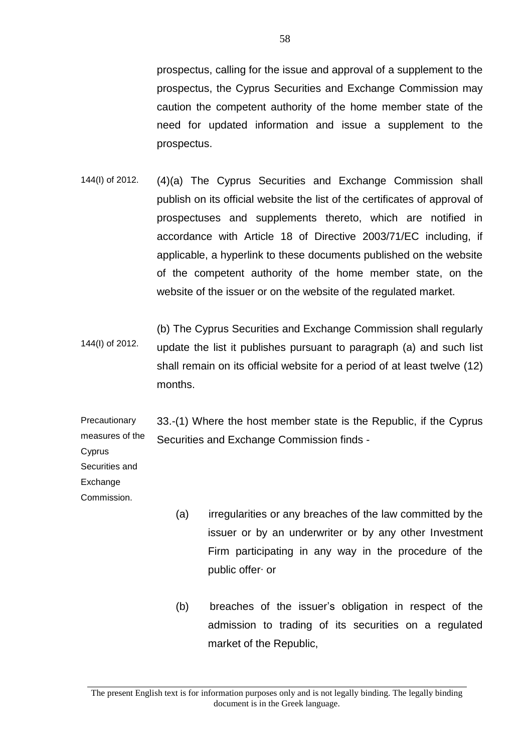prospectus, calling for the issue and approval of a supplement to the prospectus, the Cyprus Securities and Exchange Commission may caution the competent authority of the home member state of the need for updated information and issue a supplement to the prospectus.

- 144(I) of 2012. (4)(a) The Cyprus Securities and Exchange Commission shall publish on its official website the list of the certificates of approval of prospectuses and supplements thereto, which are notified in accordance with Article 18 of Directive 2003/71/EC including, if applicable, a hyperlink to these documents published on the website of the competent authority of the home member state, on the website of the issuer or on the website of the regulated market.
- 144(I) of 2012. (b) The Cyprus Securities and Exchange Commission shall regularly update the list it publishes pursuant to paragraph (a) and such list shall remain on its official website for a period of at least twelve (12) months.

**Precautionary** measures of the 33.-(1) Where the host member state is the Republic, if the Cyprus Securities and Exchange Commission finds -

Cyprus Securities and Exchange **Commission** 

- (a) irregularities or any breaches of the law committed by the issuer or by an underwriter or by any other Investment Firm participating in any way in the procedure of the public offer∙ or
- (b) breaches of the issuer's obligation in respect of the admission to trading of its securities on a regulated market of the Republic,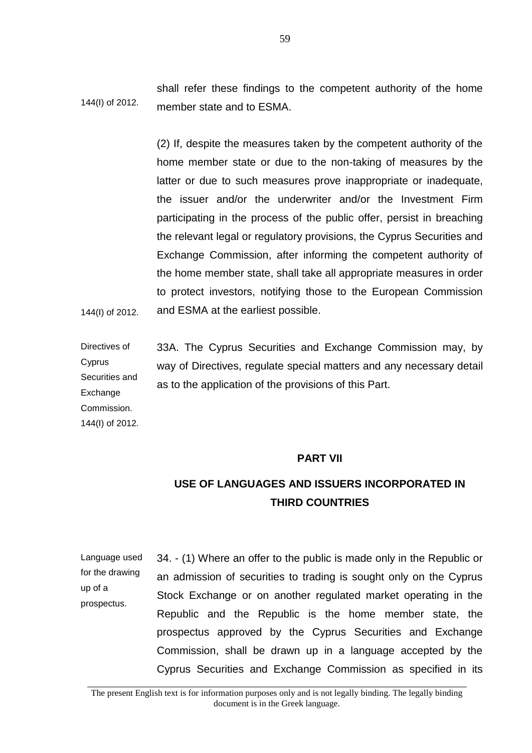144(I) of 2012. shall refer these findings to the competent authority of the home member state and to ESMA.

144(I) of 2012. (2) If, despite the measures taken by the competent authority of the home member state or due to the non-taking of measures by the latter or due to such measures prove inappropriate or inadequate, the issuer and/or the underwriter and/or the Investment Firm participating in the process of the public offer, persist in breaching the relevant legal or regulatory provisions, the Cyprus Securities and Exchange Commission, after informing the competent authority of the home member state, shall take all appropriate measures in order to protect investors, notifying those to the European Commission and ESMA at the earliest possible.

Directives of **C**yprus Securities and Exchange Commission. 144(I) of 2012. 33A. The Cyprus Securities and Exchange Commission may, by way of Directives, regulate special matters and any necessary detail as to the application of the provisions of this Part.

#### **PART VII**

# **USE OF LANGUAGES AND ISSUERS INCORPORATED IN THIRD COUNTRIES**

Language used for the drawing up of a prospectus. 34. - (1) Where an offer to the public is made only in the Republic or an admission of securities to trading is sought only on the Cyprus Stock Exchange or on another regulated market operating in the Republic and the Republic is the home member state, the prospectus approved by the Cyprus Securities and Exchange Commission, shall be drawn up in a language accepted by the Cyprus Securities and Exchange Commission as specified in its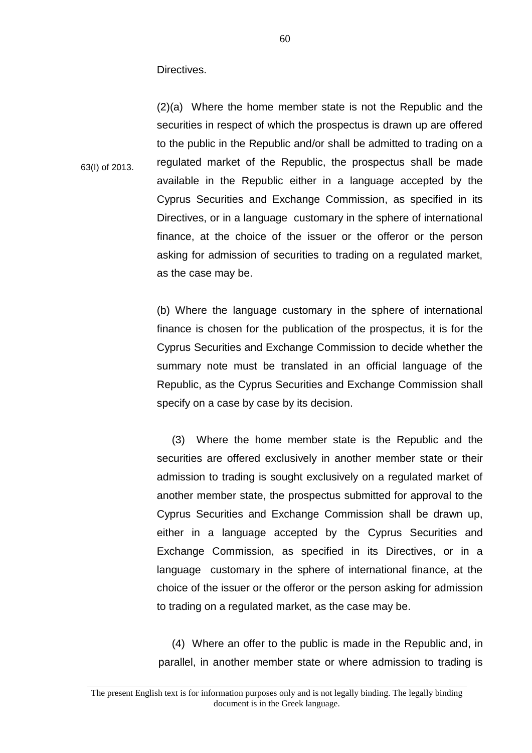Directives.

63(I) of 2013.

(2)(a) Where the home member state is not the Republic and the securities in respect of which the prospectus is drawn up are offered to the public in the Republic and/or shall be admitted to trading on a regulated market of the Republic, the prospectus shall be made available in the Republic either in a language accepted by the Cyprus Securities and Exchange Commission, as specified in its Directives, or in a language customary in the sphere of international finance, at the choice of the issuer or the offeror or the person asking for admission of securities to trading on a regulated market, as the case may be.

(b) Where the language customary in the sphere of international finance is chosen for the publication of the prospectus, it is for the Cyprus Securities and Exchange Commission to decide whether the summary note must be translated in an official language of the Republic, as the Cyprus Securities and Exchange Commission shall specify on a case by case by its decision.

 (3) Where the home member state is the Republic and the securities are offered exclusively in another member state or their admission to trading is sought exclusively on a regulated market of another member state, the prospectus submitted for approval to the Cyprus Securities and Exchange Commission shall be drawn up, either in a language accepted by the Cyprus Securities and Exchange Commission, as specified in its Directives, or in a language customary in the sphere of international finance, at the choice of the issuer or the offeror or the person asking for admission to trading on a regulated market, as the case may be.

 (4) Where an offer to the public is made in the Republic and, in parallel, in another member state or where admission to trading is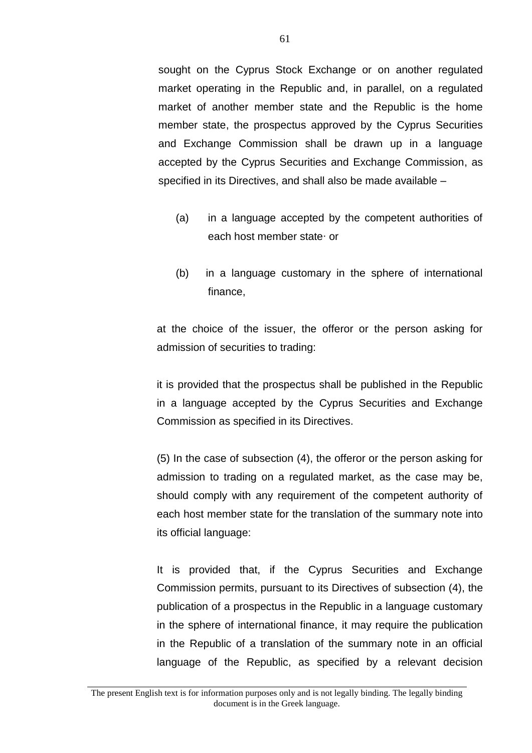sought on the Cyprus Stock Exchange or on another regulated market operating in the Republic and, in parallel, on a regulated market of another member state and the Republic is the home member state, the prospectus approved by the Cyprus Securities and Exchange Commission shall be drawn up in a language accepted by the Cyprus Securities and Exchange Commission, as specified in its Directives, and shall also be made available –

- (a) in a language accepted by the competent authorities of each host member state∙ or
- (b) in a language customary in the sphere of international finance,

at the choice of the issuer, the offeror or the person asking for admission of securities to trading:

it is provided that the prospectus shall be published in the Republic in a language accepted by the Cyprus Securities and Exchange Commission as specified in its Directives.

(5) In the case of subsection (4), the offeror or the person asking for admission to trading on a regulated market, as the case may be, should comply with any requirement of the competent authority of each host member state for the translation of the summary note into its official language:

It is provided that, if the Cyprus Securities and Exchange Commission permits, pursuant to its Directives of subsection (4), the publication of a prospectus in the Republic in a language customary in the sphere of international finance, it may require the publication in the Republic of a translation of the summary note in an official language of the Republic, as specified by a relevant decision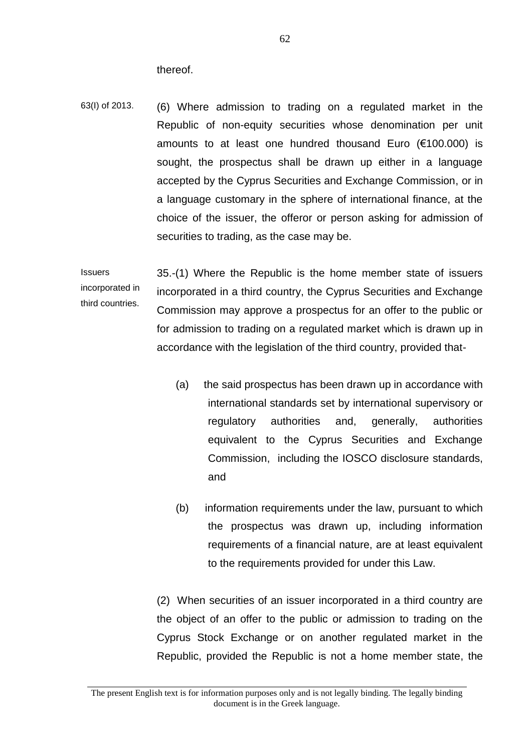thereof.

63(I) of 2013. (6) Where admission to trading on a regulated market in the Republic of non-equity securities whose denomination per unit amounts to at least one hundred thousand Euro (€100.000) is sought, the prospectus shall be drawn up either in a language accepted by the Cyprus Securities and Exchange Commission, or in a language customary in the sphere of international finance, at the choice of the issuer, the offeror or person asking for admission of securities to trading, as the case may be.

**Issuers** incorporated in third countries. 35.-(1) Where the Republic is the home member state of issuers incorporated in a third country, the Cyprus Securities and Exchange Commission may approve a prospectus for an offer to the public or for admission to trading on a regulated market which is drawn up in accordance with the legislation of the third country, provided that-

- (a) the said prospectus has been drawn up in accordance with international standards set by international supervisory or regulatory authorities and, generally, authorities equivalent to the Cyprus Securities and Exchange Commission, including the IOSCO disclosure standards, and
- (b) information requirements under the law, pursuant to which the prospectus was drawn up, including information requirements of a financial nature, are at least equivalent to the requirements provided for under this Law.

(2) When securities of an issuer incorporated in a third country are the object of an offer to the public or admission to trading on the Cyprus Stock Exchange or on another regulated market in the Republic, provided the Republic is not a home member state, the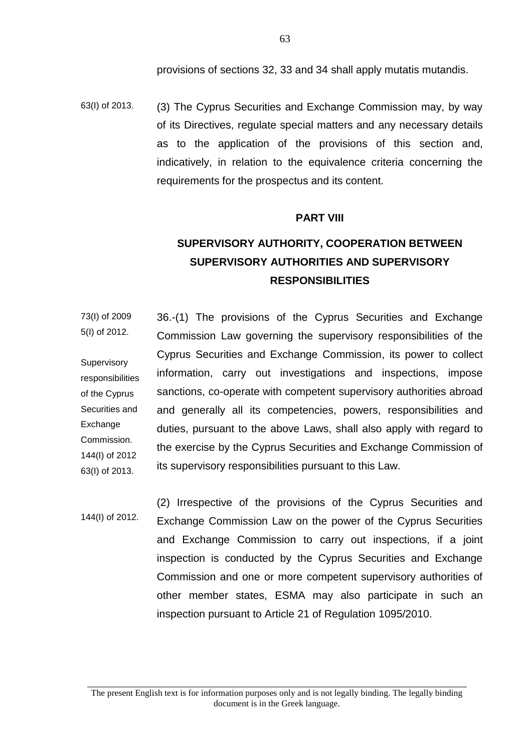provisions of sections 32, 33 and 34 shall apply mutatis mutandis.

63(I) of 2013. (3) The Cyprus Securities and Exchange Commission may, by way of its Directives, regulate special matters and any necessary details as to the application of the provisions of this section and, indicatively, in relation to the equivalence criteria concerning the requirements for the prospectus and its content.

#### **PART VIII**

# **SUPERVISORY AUTHORITY, COOPERATION BETWEEN SUPERVISORY AUTHORITIES AND SUPERVISORY RESPONSIBILITIES**

73(I) of 2009 5(I) of 2012. **Supervisory** responsibilities of the Cyprus Securities and Exchange Commission. 144(I) of 2012 63(I) of 2013. 36.-(1) The provisions of the Cyprus Securities and Exchange Commission Law governing the supervisory responsibilities of the Cyprus Securities and Exchange Commission, its power to collect information, carry out investigations and inspections, impose sanctions, co-operate with competent supervisory authorities abroad and generally all its competencies, powers, responsibilities and duties, pursuant to the above Laws, shall also apply with regard to the exercise by the Cyprus Securities and Exchange Commission of its supervisory responsibilities pursuant to this Law.

144(I) of 2012. (2) Irrespective of the provisions of the Cyprus Securities and Exchange Commission Law on the power of the Cyprus Securities and Exchange Commission to carry out inspections, if a joint inspection is conducted by the Cyprus Securities and Exchange Commission and one or more competent supervisory authorities of other member states, ESMA may also participate in such an inspection pursuant to Article 21 of Regulation 1095/2010.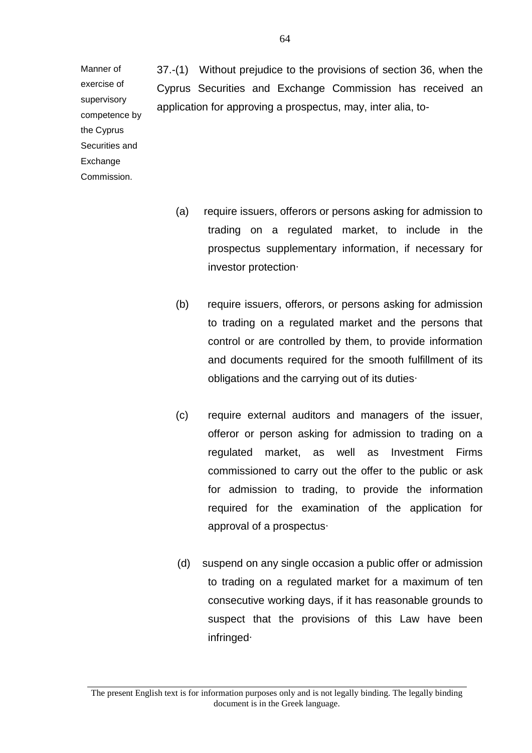37.-(1) Without prejudice to the provisions of section 36, when the Cyprus Securities and Exchange Commission has received an application for approving a prospectus, may, inter alia, to-

exercise of supervisory competence by the Cyprus Securities and Exchange Commission.

Manner of

- (a) require issuers, offerors or persons asking for admission to trading on a regulated market, to include in the prospectus supplementary information, if necessary for investor protection∙
- (b) require issuers, offerors, or persons asking for admission to trading on a regulated market and the persons that control or are controlled by them, to provide information and documents required for the smooth fulfillment of its obligations and the carrying out of its duties∙
- (c) require external auditors and managers of the issuer, offeror or person asking for admission to trading on a regulated market, as well as Investment Firms commissioned to carry out the offer to the public or ask for admission to trading, to provide the information required for the examination of the application for approval of a prospectus∙
- (d) suspend on any single occasion a public offer or admission to trading on a regulated market for a maximum of ten consecutive working days, if it has reasonable grounds to suspect that the provisions of this Law have been infringed∙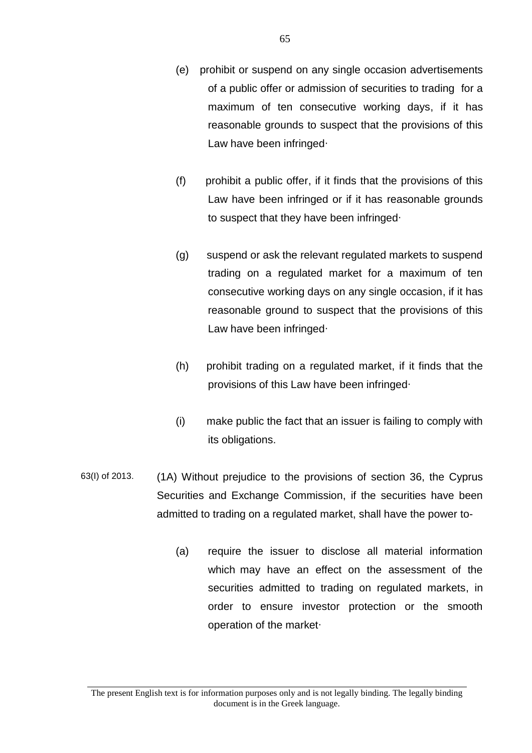- (e) prohibit or suspend on any single occasion advertisements of a public offer or admission of securities to trading for a maximum of ten consecutive working days, if it has reasonable grounds to suspect that the provisions of this Law have been infringed∙
- (f) prohibit a public offer, if it finds that the provisions of this Law have been infringed or if it has reasonable grounds to suspect that they have been infringed∙
- (g) suspend or ask the relevant regulated markets to suspend trading on a regulated market for a maximum of ten consecutive working days on any single occasion, if it has reasonable ground to suspect that the provisions of this Law have been infringed∙
- (h) prohibit trading on a regulated market, if it finds that the provisions of this Law have been infringed∙
- (i) make public the fact that an issuer is failing to comply with its obligations.
- 63(I) of 2013. (1A) Without prejudice to the provisions of section 36, the Cyprus Securities and Exchange Commission, if the securities have been admitted to trading on a regulated market, shall have the power to-
	- (a) require the issuer to disclose all material information which may have an effect on the assessment of the securities admitted to trading on regulated markets, in order to ensure investor protection or the smooth operation of the market∙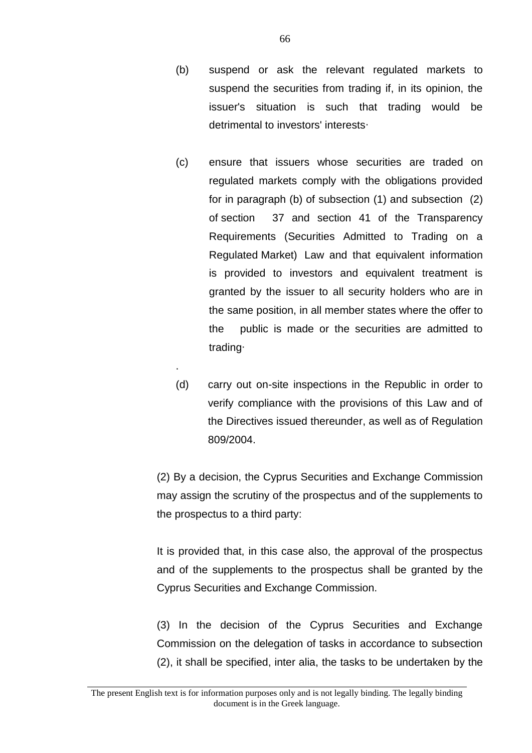- (b) suspend or ask the relevant regulated markets to suspend the securities from trading if, in its opinion, the issuer's situation is such that trading would be detrimental to investors' interests∙
- (c) ensure that issuers whose securities are traded on regulated markets comply with the obligations provided for in paragraph (b) of subsection (1) and subsection (2) of section 37 and section 41 of the Transparency Requirements (Securities Admitted to Trading on a Regulated Market) Law and that equivalent information is provided to investors and equivalent treatment is granted by the issuer to all security holders who are in the same position, in all member states where the offer to the public is made or the securities are admitted to trading∙
- (d) carry out on-site inspections in the Republic in order to verify compliance with the provisions of this Law and of the Directives issued thereunder, as well as of Regulation 809/2004.

.

(2) By a decision, the Cyprus Securities and Exchange Commission may assign the scrutiny of the prospectus and of the supplements to the prospectus to a third party:

It is provided that, in this case also, the approval of the prospectus and of the supplements to the prospectus shall be granted by the Cyprus Securities and Exchange Commission.

(3) In the decision of the Cyprus Securities and Exchange Commission on the delegation of tasks in accordance to subsection (2), it shall be specified, inter alia, the tasks to be undertaken by the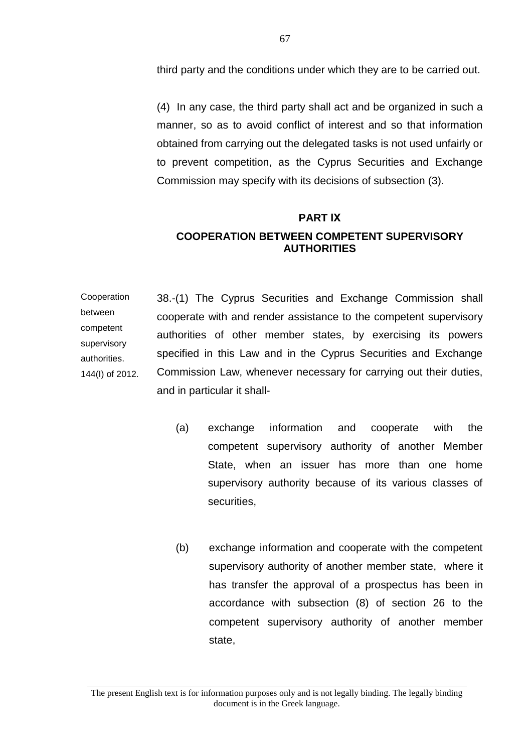third party and the conditions under which they are to be carried out.

(4) In any case, the third party shall act and be organized in such a manner, so as to avoid conflict of interest and so that information obtained from carrying out the delegated tasks is not used unfairly or to prevent competition, as the Cyprus Securities and Exchange Commission may specify with its decisions of subsection (3).

#### **PART ΙΧ**

## **COOPERATION BETWEEN COMPETENT SUPERVISORY AUTHORITIES**

Cooperation between competent supervisory authorities. 144(I) of 2012. 38.-(1) The Cyprus Securities and Exchange Commission shall cooperate with and render assistance to the competent supervisory authorities of other member states, by exercising its powers specified in this Law and in the Cyprus Securities and Exchange Commission Law, whenever necessary for carrying out their duties, and in particular it shall-

- (a) exchange information and cooperate with the competent supervisory authority of another Member State, when an issuer has more than one home supervisory authority because of its various classes of securities,
- (b) exchange information and cooperate with the competent supervisory authority of another member state, where it has transfer the approval of a prospectus has been in accordance with subsection (8) of section 26 to the competent supervisory authority of another member state,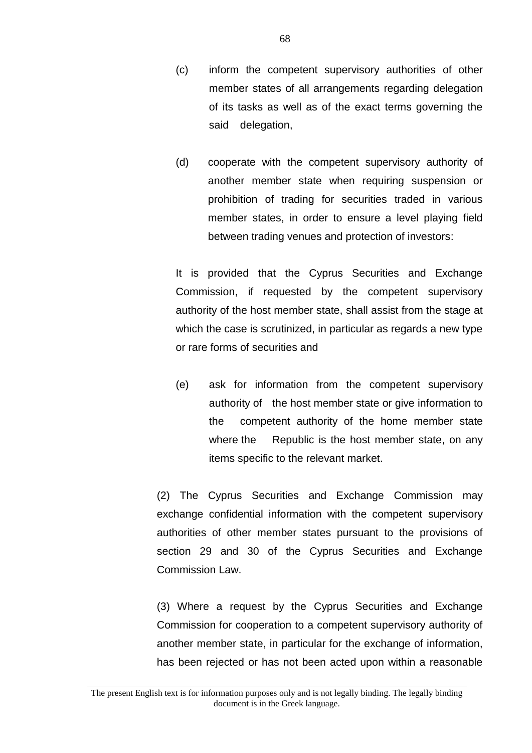- (c) inform the competent supervisory authorities of other member states of all arrangements regarding delegation of its tasks as well as of the exact terms governing the said delegation,
- (d) cooperate with the competent supervisory authority of another member state when requiring suspension or prohibition of trading for securities traded in various member states, in order to ensure a level playing field between trading venues and protection of investors:

It is provided that the Cyprus Securities and Exchange Commission, if requested by the competent supervisory authority of the host member state, shall assist from the stage at which the case is scrutinized, in particular as regards a new type or rare forms of securities and

(e) ask for information from the competent supervisory authority of the host member state or give information to the competent authority of the home member state where the Republic is the host member state, on any items specific to the relevant market.

(2) The Cyprus Securities and Exchange Commission may exchange confidential information with the competent supervisory authorities of other member states pursuant to the provisions of section 29 and 30 of the Cyprus Securities and Exchange Commission Law.

(3) Where a request by the Cyprus Securities and Exchange Commission for cooperation to a competent supervisory authority of another member state, in particular for the exchange of information, has been rejected or has not been acted upon within a reasonable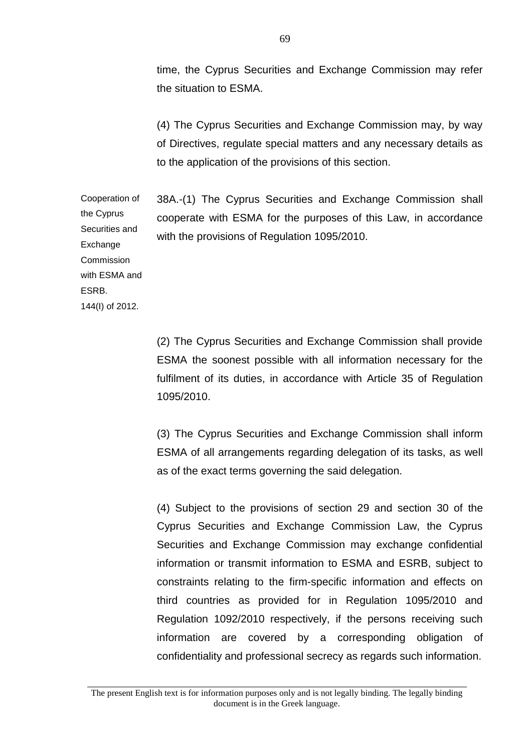time, the Cyprus Securities and Exchange Commission may refer the situation to ESMA.

(4) The Cyprus Securities and Exchange Commission may, by way of Directives, regulate special matters and any necessary details as to the application of the provisions of this section.

Cooperation of 38A.-(1) The Cyprus Securities and Exchange Commission shall cooperate with ESMA for the purposes of this Law, in accordance with the provisions of Regulation 1095/2010.

the Cyprus Securities and **Exchange Commission** with ESMA and ESRB. 144(I) of 2012.

> (2) The Cyprus Securities and Exchange Commission shall provide ESMA the soonest possible with all information necessary for the fulfilment of its duties, in accordance with Article 35 of Regulation 1095/2010.

> (3) The Cyprus Securities and Exchange Commission shall inform ESMA of all arrangements regarding delegation of its tasks, as well as of the exact terms governing the said delegation.

> (4) Subject to the provisions of section 29 and section 30 of the Cyprus Securities and Exchange Commission Law, the Cyprus Securities and Exchange Commission may exchange confidential information or transmit information to ESMA and ESRB, subject to constraints relating to the firm-specific information and effects on third countries as provided for in Regulation 1095/2010 and Regulation 1092/2010 respectively, if the persons receiving such information are covered by a corresponding obligation of confidentiality and professional secrecy as regards such information.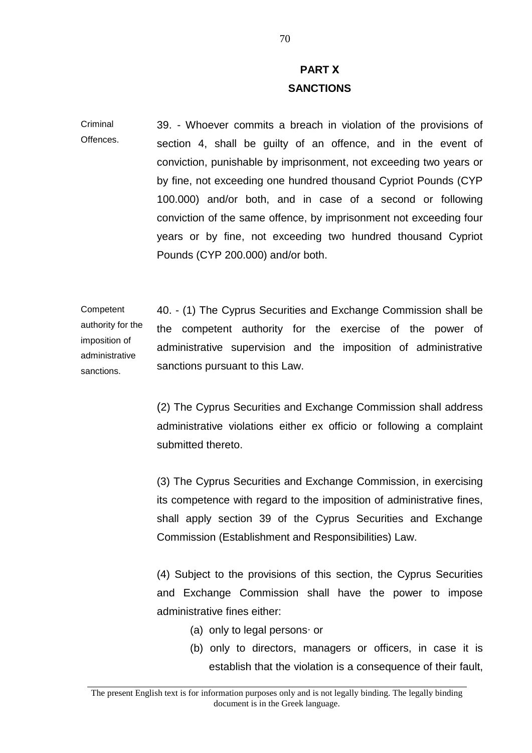# **PART Χ SANCTIONS**

Criminal Offences. 39. - Whoever commits a breach in violation of the provisions of section 4, shall be guilty of an offence, and in the event of conviction, punishable by imprisonment, not exceeding two years or by fine, not exceeding one hundred thousand Cypriot Pounds (CYP 100.000) and/or both, and in case of a second or following conviction of the same offence, by imprisonment not exceeding four years or by fine, not exceeding two hundred thousand Cypriot Pounds (CYP 200.000) and/or both.

Competent authority for the imposition of administrative sanctions. 40. - (1) The Cyprus Securities and Exchange Commission shall be the competent authority for the exercise of the power of administrative supervision and the imposition of administrative sanctions pursuant to this Law.

> (2) The Cyprus Securities and Exchange Commission shall address administrative violations either ex officio or following a complaint submitted thereto.

> (3) The Cyprus Securities and Exchange Commission, in exercising its competence with regard to the imposition of administrative fines, shall apply section 39 of the Cyprus Securities and Exchange Commission (Establishment and Responsibilities) Law.

> (4) Subject to the provisions of this section, the Cyprus Securities and Exchange Commission shall have the power to impose administrative fines either:

- (a) only to legal persons∙ or
- (b) only to directors, managers or officers, in case it is establish that the violation is a consequence of their fault,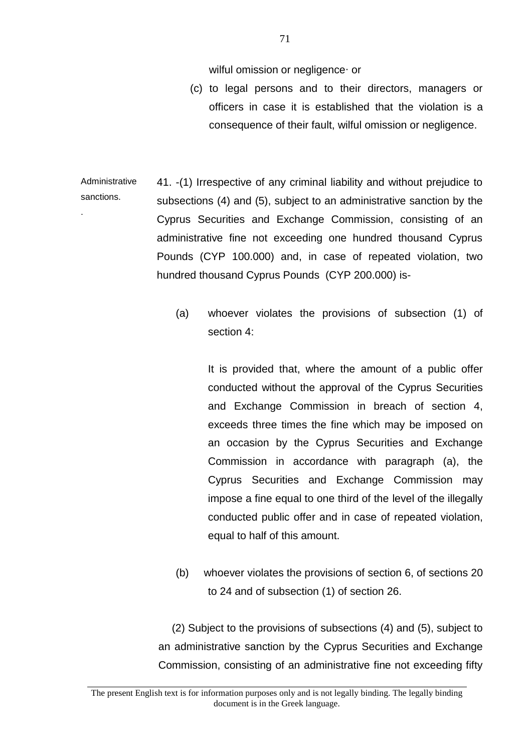wilful omission or negligence∙ or

(c) to legal persons and to their directors, managers or officers in case it is established that the violation is a consequence of their fault, wilful omission or negligence.

Administrative sanctions. . 41. -(1) Irrespective of any criminal liability and without prejudice to subsections (4) and (5), subject to an administrative sanction by the Cyprus Securities and Exchange Commission, consisting of an administrative fine not exceeding one hundred thousand Cyprus Pounds (CYP 100.000) and, in case of repeated violation, two hundred thousand Cyprus Pounds (CYP 200.000) is-

> (a) whoever violates the provisions of subsection (1) of section 4:

> > It is provided that, where the amount of a public offer conducted without the approval of the Cyprus Securities and Exchange Commission in breach of section 4, exceeds three times the fine which may be imposed on an occasion by the Cyprus Securities and Exchange Commission in accordance with paragraph (a), the Cyprus Securities and Exchange Commission may impose a fine equal to one third of the level of the illegally conducted public offer and in case of repeated violation, equal to half of this amount.

(b) whoever violates the provisions of section 6, of sections 20 to 24 and of subsection (1) of section 26.

 (2) Subject to the provisions of subsections (4) and (5), subject to an administrative sanction by the Cyprus Securities and Exchange Commission, consisting of an administrative fine not exceeding fifty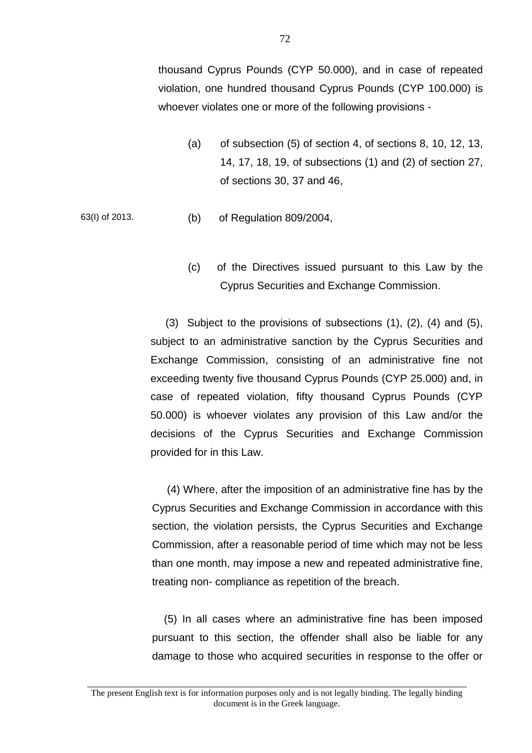thousand Cyprus Pounds (CYP 50.000), and in case of repeated violation, one hundred thousand Cyprus Pounds (CYP 100.000) is whoever violates one or more of the following provisions -

- (a) of subsection (5) of section 4, of sections 8, 10, 12, 13, 14, 17, 18, 19, of subsections (1) and (2) of section 27, of sections 30, 37 and 46,
- 63(I) of 2013. (b) of Regulation 809/2004,
	- (c) of the Directives issued pursuant to this Law by the Cyprus Securities and Exchange Commission.

 (3) Subject to the provisions of subsections (1), (2), (4) and (5), subject to an administrative sanction by the Cyprus Securities and Exchange Commission, consisting of an administrative fine not exceeding twenty five thousand Cyprus Pounds (CYP 25.000) and, in case of repeated violation, fifty thousand Cyprus Pounds (CYP 50.000) is whoever violates any provision of this Law and/or the decisions of the Cyprus Securities and Exchange Commission provided for in this Law.

 (4) Where, after the imposition of an administrative fine has by the Cyprus Securities and Exchange Commission in accordance with this section, the violation persists, the Cyprus Securities and Exchange Commission, after a reasonable period of time which may not be less than one month, may impose a new and repeated administrative fine, treating non- compliance as repetition of the breach.

 (5) In all cases where an administrative fine has been imposed pursuant to this section, the offender shall also be liable for any damage to those who acquired securities in response to the offer or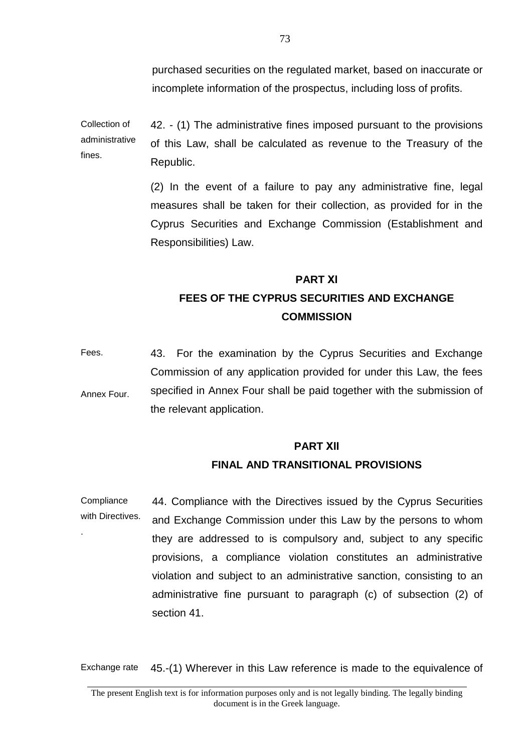purchased securities on the regulated market, based on inaccurate or incomplete information of the prospectus, including loss of profits.

Collection of administrative fines. 42. - (1) The administrative fines imposed pursuant to the provisions of this Law, shall be calculated as revenue to the Treasury of the Republic.

> (2) In the event of a failure to pay any administrative fine, legal measures shall be taken for their collection, as provided for in the Cyprus Securities and Exchange Commission (Establishment and Responsibilities) Law.

# **PART ΧΙ FEES OF THE CYPRUS SECURITIES AND EXCHANGE COMMISSION**

Fees. Annex Four. 43. For the examination by the Cyprus Securities and Exchange Commission of any application provided for under this Law, the fees specified in Annex Four shall be paid together with the submission of the relevant application.

#### **PART ΧΙΙ**

#### **FINAL AND TRANSITIONAL PROVISIONS**

**Compliance** with Directives. . 44. Compliance with the Directives issued by the Cyprus Securities and Exchange Commission under this Law by the persons to whom they are addressed to is compulsory and, subject to any specific provisions, a compliance violation constitutes an administrative violation and subject to an administrative sanction, consisting to an administrative fine pursuant to paragraph (c) of subsection (2) of section 41.

Exchange rate 45.-(1) Wherever in this Law reference is made to the equivalence of

The present English text is for information purposes only and is not legally binding. The legally binding document is in the Greek language.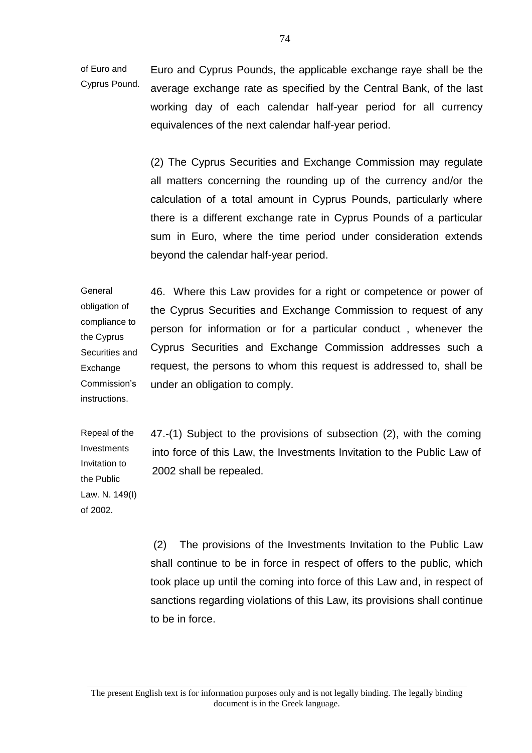of Euro and Cyprus Pound. Euro and Cyprus Pounds, the applicable exchange raye shall be the average exchange rate as specified by the Central Bank, of the last working day of each calendar half-year period for all currency equivalences of the next calendar half-year period.

> (2) The Cyprus Securities and Exchange Commission may regulate all matters concerning the rounding up of the currency and/or the calculation of a total amount in Cyprus Pounds, particularly where there is a different exchange rate in Cyprus Pounds of a particular sum in Euro, where the time period under consideration extends beyond the calendar half-year period.

General obligation of compliance to the Cyprus Securities and **Exchange** Commission's instructions. 46. Where this Law provides for a right or competence or power of the Cyprus Securities and Exchange Commission to request of any person for information or for a particular conduct , whenever the Cyprus Securities and Exchange Commission addresses such a request, the persons to whom this request is addressed to, shall be under an obligation to comply.

Repeal of the Investments Invitation to the Public Law. N. 149(I) of 2002.

47.-(1) Subject to the provisions of subsection (2), with the coming into force of this Law, the Investments Invitation to the Public Law of 2002 shall be repealed.

(2) The provisions of the Investments Invitation to the Public Law shall continue to be in force in respect of offers to the public, which took place up until the coming into force of this Law and, in respect of sanctions regarding violations of this Law, its provisions shall continue to be in force.

The present English text is for information purposes only and is not legally binding. The legally binding document is in the Greek language.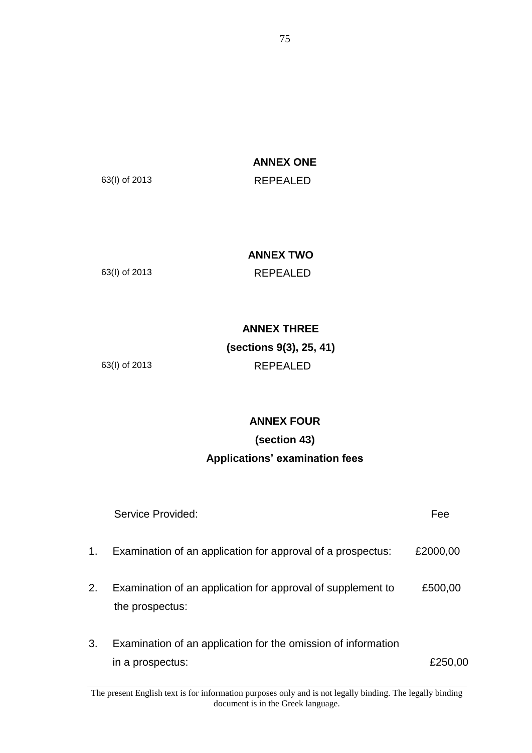**ANNEX ONE**

63(I) of 2013 REPEALED

### **ANNEX TWO**

63(I) of 2013 REPEALED

## **ANNEX THREE**

## **(sections 9(3), 25, 41)** 63(I) of 2013 REPEALED

# **ANNEX FOUR**

# **(section 43) Applications' examination fees**

|    | Service Provided:                                                                 | Fee      |
|----|-----------------------------------------------------------------------------------|----------|
| 1. | Examination of an application for approval of a prospectus:                       | £2000,00 |
| 2. | Examination of an application for approval of supplement to<br>the prospectus:    | £500,00  |
| 3. | Examination of an application for the omission of information<br>in a prospectus: | £250.00  |

The present English text is for information purposes only and is not legally binding. The legally binding document is in the Greek language.